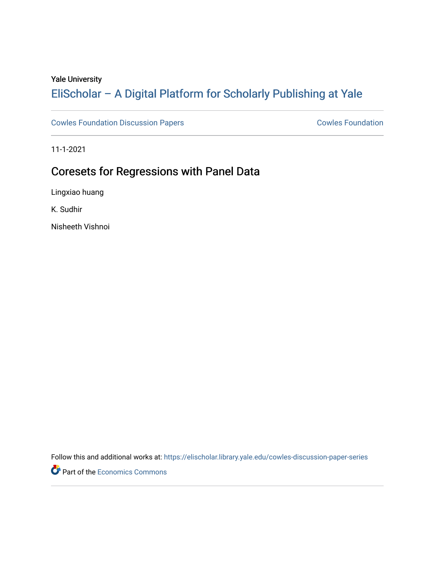## Yale University

# [EliScholar – A Digital Platform for Scholarly Publishing at Yale](https://elischolar.library.yale.edu/)

[Cowles Foundation Discussion Papers](https://elischolar.library.yale.edu/cowles-discussion-paper-series) **Cowles Foundation** Cowles Foundation

11-1-2021

# Coresets for Regressions with Panel Data

Lingxiao huang

K. Sudhir

Nisheeth Vishnoi

Follow this and additional works at: [https://elischolar.library.yale.edu/cowles-discussion-paper-series](https://elischolar.library.yale.edu/cowles-discussion-paper-series?utm_source=elischolar.library.yale.edu%2Fcowles-discussion-paper-series%2F2657&utm_medium=PDF&utm_campaign=PDFCoverPages)

Part of the [Economics Commons](http://network.bepress.com/hgg/discipline/340?utm_source=elischolar.library.yale.edu%2Fcowles-discussion-paper-series%2F2657&utm_medium=PDF&utm_campaign=PDFCoverPages)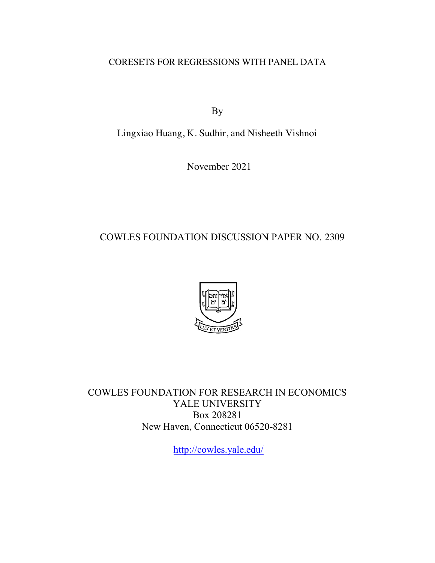CORESETS FOR REGRESSIONS WITH PANEL DATA

By

Lingxiao Huang, K. Sudhir, and Nisheeth Vishnoi

November 2021

## COWLES FOUNDATION DISCUSSION PAPER NO. 2309



COWLES FOUNDATION FOR RESEARCH IN ECONOMICS YALE UNIVERSITY Box 208281 New Haven, Connecticut 06520-8281

<http://cowles.yale.edu>/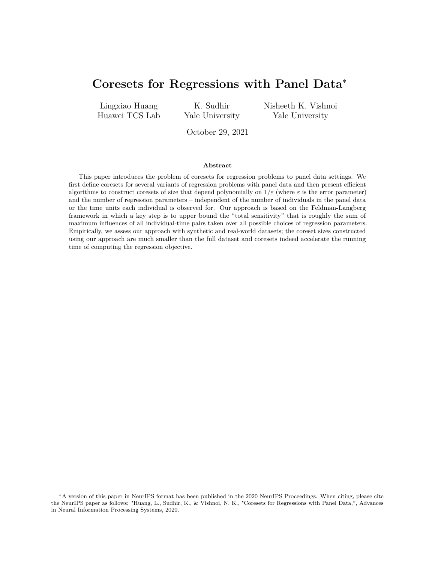## **Coresets for Regressions with Panel Data**<sup>∗</sup>

Lingxiao Huang Huawei TCS Lab

K. Sudhir Yale University Nisheeth K. Vishnoi Yale University

October 29, 2021

#### **Abstract**

This paper introduces the problem of coresets for regression problems to panel data settings. We first define coresets for several variants of regression problems with panel data and then present efficient algorithms to construct coresets of size that depend polynomially on  $1/\varepsilon$  (where  $\varepsilon$  is the error parameter) and the number of regression parameters – independent of the number of individuals in the panel data or the time units each individual is observed for. Our approach is based on the Feldman-Langberg framework in which a key step is to upper bound the "total sensitivity" that is roughly the sum of maximum influences of all individual-time pairs taken over all possible choices of regression parameters. Empirically, we assess our approach with synthetic and real-world datasets; the coreset sizes constructed using our approach are much smaller than the full dataset and coresets indeed accelerate the running time of computing the regression objective.

<sup>∗</sup>A version of this paper in NeurIPS format has been published in the 2020 NeurIPS Proceedings. When citing, please cite the NeurIPS paper as follows: "Huang, L., Sudhir, K., & Vishnoi, N. K., "Coresets for Regressions with Panel Data,", Advances in Neural Information Processing Systems, 2020.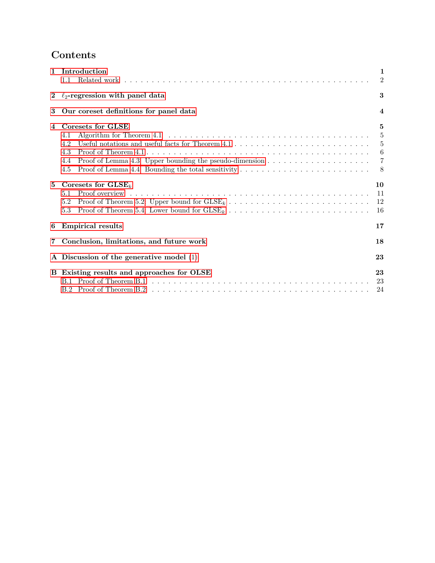## **Contents**

|                                            | 1 Introduction<br>1.1                                                                                                                                                                                                                                                                                                                                                                                      | $\mathbf{1}$<br>2                                     |  |  |  |  |  |  |  |  |
|--------------------------------------------|------------------------------------------------------------------------------------------------------------------------------------------------------------------------------------------------------------------------------------------------------------------------------------------------------------------------------------------------------------------------------------------------------------|-------------------------------------------------------|--|--|--|--|--|--|--|--|
|                                            | 2 $\ell_2$ -regression with panel data                                                                                                                                                                                                                                                                                                                                                                     |                                                       |  |  |  |  |  |  |  |  |
| 3                                          | Our coreset definitions for panel data                                                                                                                                                                                                                                                                                                                                                                     | $\overline{4}$                                        |  |  |  |  |  |  |  |  |
| 4                                          | Coresets for GLSE<br>Algorithm for Theorem 4.1 $\dots \dots \dots \dots \dots \dots \dots \dots \dots \dots \dots \dots \dots \dots \dots$<br>4.1<br>Useful notations and useful facts for Theorem $4.1 \ldots \ldots \ldots \ldots \ldots \ldots \ldots \ldots \ldots$<br>4.2<br>4.3<br>Proof of Lemma 4.3: Upper bounding the pseudo-dimension $\dots \dots \dots \dots \dots \dots \dots$<br>4.4<br>4.5 | 5<br>5<br>$\frac{5}{2}$<br>6<br>$\overline{7}$<br>- 8 |  |  |  |  |  |  |  |  |
| $5^{\circ}$                                | Coresets for $\text{GLSE}_k$<br>5.1<br>5.2<br>Proof of Theorem 5.4: Lower bound for $\text{GLSE}_k$ ,<br>$5.3^{\circ}$                                                                                                                                                                                                                                                                                     | 10<br>11<br>12<br>16                                  |  |  |  |  |  |  |  |  |
| 6                                          | <b>Empirical results</b>                                                                                                                                                                                                                                                                                                                                                                                   |                                                       |  |  |  |  |  |  |  |  |
| $\overline{7}$                             | Conclusion, limitations, and future work                                                                                                                                                                                                                                                                                                                                                                   | 18                                                    |  |  |  |  |  |  |  |  |
| A Discussion of the generative model $(1)$ |                                                                                                                                                                                                                                                                                                                                                                                                            |                                                       |  |  |  |  |  |  |  |  |
|                                            | B Existing results and approaches for OLSE                                                                                                                                                                                                                                                                                                                                                                 |                                                       |  |  |  |  |  |  |  |  |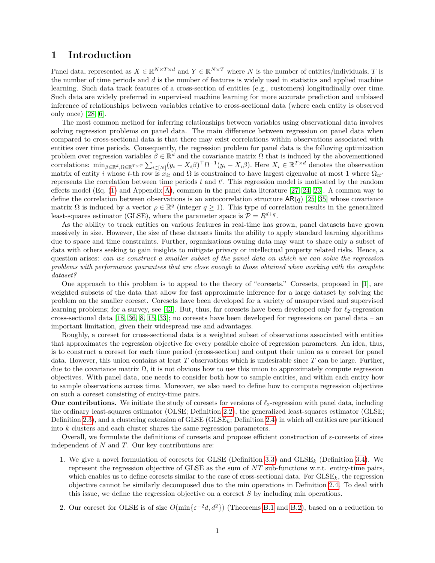### <span id="page-4-0"></span>**1 Introduction**

Panel data, represented as  $X \in \mathbb{R}^{N \times T \times d}$  and  $Y \in \mathbb{R}^{N \times T}$  where *N* is the number of entities/individuals, *T* is the number of time periods and *d* is the number of features is widely used in statistics and applied machine learning. Such data track features of a cross-section of entities (e.g., customers) longitudinally over time. Such data are widely preferred in supervised machine learning for more accurate prediction and unbiased inference of relationships between variables relative to cross-sectional data (where each entity is observed only once) [\[28,](#page-24-0) [6\]](#page-23-0).

The most common method for inferring relationships between variables using observational data involves solving regression problems on panel data. The main difference between regression on panel data when compared to cross-sectional data is that there may exist correlations within observations associated with entities over time periods. Consequently, the regression problem for panel data is the following optimization problem over regression variables  $\beta \in \mathbb{R}^d$  and the covariance matrix  $\Omega$  that is induced by the abovementioned correlations:  $\min_{\beta \in \mathbb{R}^d, \Omega \in \mathbb{R}^{T \times T}} \sum_{i \in [N]} (y_i - X_i \beta)^{\top} \Omega^{-1} (y_i - X_i \beta)$ . Here  $X_i \in \mathbb{R}^{T \times d}$  denotes the observation matrix of entity *i* whose *t*-th row is  $\dot{x}_{it}$  and  $\Omega$  is constrained to have largest eigenvalue at most 1 where  $\Omega_{tt}$ represents the correlation between time periods  $t$  and  $t'$ . This regression model is motivated by the random effects model (Eq. [\(1\)](#page-6-1) and Appendix [A\)](#page-26-0), common in the panel data literature [\[27,](#page-24-1) [24,](#page-24-2) [23\]](#page-24-3). A common way to define the correlation between observations is an autocorrelation structure AR(*q*) [\[25,](#page-24-4) [35\]](#page-24-5) whose covariance matrix  $\Omega$  is induced by a vector  $\rho \in \mathbb{R}^q$  (integer  $q \ge 1$ ). This type of correlation results in the generalized least-squares estimator (GLSE), where the parameter space is  $\mathcal{P} = R^{d+q}$ .

As the ability to track entities on various features in real-time has grown, panel datasets have grown massively in size. However, the size of these datasets limits the ability to apply standard learning algorithms due to space and time constraints. Further, organizations owning data may want to share only a subset of data with others seeking to gain insights to mitigate privacy or intellectual property related risks. Hence, a question arises: *can we construct a smaller subset of the panel data on which we can solve the regression problems with performance guarantees that are close enough to those obtained when working with the complete dataset?*

One approach to this problem is to appeal to the theory of "coresets." Coresets, proposed in [\[1\]](#page-23-1), are weighted subsets of the data that allow for fast approximate inference for a large dataset by solving the problem on the smaller coreset. Coresets have been developed for a variety of unsupervised and supervised learning problems; for a survey, see [\[43\]](#page-25-0). But, thus, far coresets have been developed only for  $\ell_2$ -regression cross-sectional data  $[18, 36, 8, 15, 33]$  $[18, 36, 8, 15, 33]$  $[18, 36, 8, 15, 33]$  $[18, 36, 8, 15, 33]$  $[18, 36, 8, 15, 33]$  $[18, 36, 8, 15, 33]$  $[18, 36, 8, 15, 33]$  $[18, 36, 8, 15, 33]$  $[18, 36, 8, 15, 33]$ ; no coresets have been developed for regressions on panel data – an important limitation, given their widespread use and advantages.

Roughly, a coreset for cross-sectional data is a weighted subset of observations associated with entities that approximates the regression objective for every possible choice of regression parameters. An idea, thus, is to construct a coreset for each time period (cross-section) and output their union as a coreset for panel data. However, this union contains at least *T* observations which is undesirable since *T* can be large. Further, due to the covariance matrix  $\Omega$ , it is not obvious how to use this union to approximately compute regression objectives. With panel data, one needs to consider both how to sample entities, and within each entity how to sample observations across time. Moreover, we also need to define how to compute regression objectives on such a coreset consisting of entity-time pairs.

**Our contributions.** We initiate the study of coresets for versions of  $\ell_2$ -regression with panel data, including the ordinary least-squares estimator (OLSE; Definition [2.2\)](#page-6-3), the generalized least-squares estimator (GLSE; Definition [2.3\)](#page-6-4), and a clustering extension of  $G \text{LSE}$  ( $G \text{LSE}_k$ ; Definition [2.4\)](#page-6-5) in which all entities are partitioned into *k* clusters and each cluster shares the same regression parameters.

Overall, we formulate the definitions of coresets and propose efficient construction of *ε*-coresets of sizes independent of *N* and *T*. Our key contributions are:

- 1. We give a novel formulation of coresets for GLSE (Definition [3.3\)](#page-7-1) and GLSE*<sup>k</sup>* (Definition [3.4\)](#page-8-4). We represent the regression objective of GLSE as the sum of *NT* sub-functions w.r.t. entity-time pairs, which enables us to define coresets similar to the case of cross-sectional data. For  $G \text{LSE}_k$ , the regression objective cannot be similarly decomposed due to the min operations in Definition [2.4.](#page-6-5) To deal with this issue, we define the regression objective on a coreset *S* by including min operations.
- 2. Our coreset for OLSE is of size  $O(\min{\{\varepsilon^{-2}d, d^2\}})$  (Theorems [B.1](#page-6-2) and [B.2\)](#page-6-3), based on a reduction to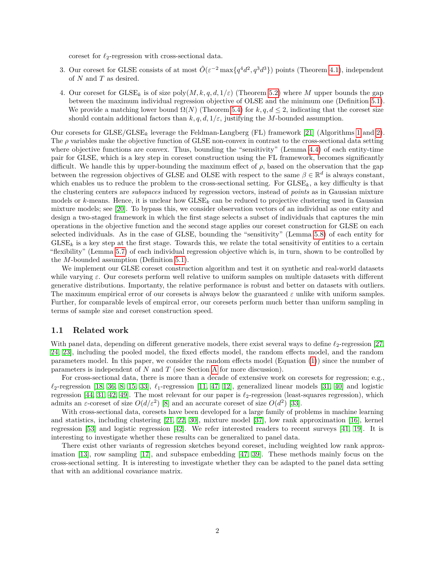coreset for  $\ell_2$ -regression with cross-sectional data.

- 3. Our coreset for GLSE consists of at most  $\tilde{O}(\varepsilon^{-2} \max\{q^4 d^2, q^3 d^3\})$  points (Theorem [4.1\)](#page-8-2), independent of *N* and *T* as desired.
- 4. Our coreset for GLSE*<sup>k</sup>* is of size poly(*M, k, q, d,* 1*/ε*) (Theorem [5.2\)](#page-13-1) where *M* upper bounds the gap between the maximum individual regression objective of OLSE and the minimum one (Definition [5.1\)](#page-13-2). We provide a matching lower bound  $\Omega(N)$  (Theorem [5.4\)](#page-14-1) for  $k, q, d \leq 2$ , indicating that the coreset size should contain additional factors than  $k, q, d, 1/\varepsilon$ , justifying the *M*-bounded assumption.

Our coresets for GLSE/GLSE*<sup>k</sup>* leverage the Feldman-Langberg (FL) framework [\[21\]](#page-24-9) (Algorithms [1](#page-9-3) and [2\)](#page-14-2). The  $\rho$  variables make the objective function of GLSE non-convex in contrast to the cross-sectional data setting where objective functions are convex. Thus, bounding the "sensitivity" (Lemma [4.4\)](#page-9-2) of each entity-time pair for GLSE, which is a key step in coreset construction using the FL framework, becomes significantly difficult. We handle this by upper-bounding the maximum effect of  $\rho$ , based on the observation that the gap between the regression objectives of GLSE and OLSE with respect to the same  $\beta \in \mathbb{R}^d$  is always constant, which enables us to reduce the problem to the cross-sectional setting. For  $GLES_{k}$ , a key difficulty is that the clustering centers are *subspaces* induced by regression vectors, instead of *points* as in Gaussian mixture models or *k*-means. Hence, it is unclear how GLSE*<sup>k</sup>* can be reduced to projective clustering used in Gaussian mixture models; see [\[20\]](#page-24-10). To bypass this, we consider observation vectors of an individual as one entity and design a two-staged framework in which the first stage selects a subset of individuals that captures the min operations in the objective function and the second stage applies our coreset construction for GLSE on each selected individuals. As in the case of GLSE, bounding the "sensitivity" (Lemma [5.8\)](#page-17-0) of each entity for  $G \text{LSE}_k$  is a key step at the first stage. Towards this, we relate the total sensitivity of entities to a certain "flexibility" (Lemma [5.7\)](#page-16-0) of each individual regression objective which is, in turn, shown to be controlled by the *M*-bounded assumption (Definition [5.1\)](#page-13-2).

We implement our GLSE coreset construction algorithm and test it on synthetic and real-world datasets while varying *ε*. Our coresets perform well relative to uniform samples on multiple datasets with different generative distributions. Importanty, the relative performance is robust and better on datasets with outliers. The maximum empirical error of our coresets is always below the guaranteed  $\varepsilon$  unlike with uniform samples. Further, for comparable levels of empircal error, our coresets perform much better than uniform sampling in terms of sample size and coreset construction speed.

#### <span id="page-5-0"></span>**1.1 Related work**

With panel data, depending on different generative models, there exist several ways to define  $\ell_2$ -regression [\[27,](#page-24-1) [24,](#page-24-2) [23\]](#page-24-3), including the pooled model, the fixed effects model, the random effects model, and the random parameters model. In this paper, we consider the random effects model (Equation [\(1\)](#page-6-1)) since the number of parameters is independent of *N* and *T* (see Section [A](#page-26-0) for more discussion).

For cross-sectional data, there is more than a decade of extensive work on coresets for regression; e.g.,  $\ell_2$ -regression [\[18,](#page-24-6) [36,](#page-24-7) [8,](#page-23-2) [15,](#page-23-3) [33\]](#page-24-8),  $\ell_1$ -regression [\[11,](#page-23-4) [47,](#page-25-1) [12\]](#page-23-5), generalized linear models [\[31,](#page-24-11) [40\]](#page-25-2) and logistic regression  $[44, 31, 42, 49]$  $[44, 31, 42, 49]$  $[44, 31, 42, 49]$  $[44, 31, 42, 49]$  $[44, 31, 42, 49]$  $[44, 31, 42, 49]$  $[44, 31, 42, 49]$ . The most relevant for our paper is  $\ell_2$ -regression (least-squares regression), which admits an *ε*-coreset of size  $O(d/\varepsilon^2)$  [\[8\]](#page-23-2) and an accurate coreset of size  $O(d^2)$  [\[33\]](#page-24-8).

With cross-sectional data, coresets have been developed for a large family of problems in machine learning and statistics, including clustering [\[21,](#page-24-9) [22,](#page-24-12) [30\]](#page-24-13), mixture model [\[37\]](#page-25-6), low rank approximation [\[16\]](#page-23-6), kernel regression [\[53\]](#page-25-7) and logistic regression [\[42\]](#page-25-4). We refer interested readers to recent surveys [\[41,](#page-25-8) [19\]](#page-24-14). It is interesting to investigate whether these results can be generalized to panel data.

There exist other variants of regression sketches beyond coreset, including weighted low rank approximation [\[13\]](#page-23-7), row sampling [\[17\]](#page-23-8), and subspace embedding [\[47,](#page-25-1) [39\]](#page-25-9). These methods mainly focus on the cross-sectional setting. It is interesting to investigate whether they can be adapted to the panel data setting that with an additional covariance matrix.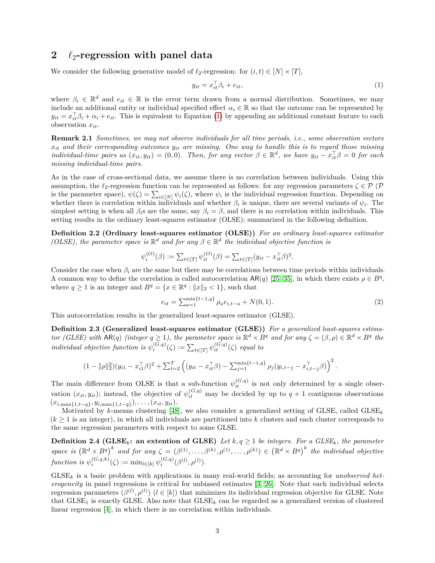## <span id="page-6-0"></span>**2** *`*2**-regression with panel data**

We consider the following generative model of  $\ell_2$ -regression: for  $(i, t) \in [N] \times [T]$ ,

<span id="page-6-1"></span>
$$
y_{it} = x_{it}^{\top} \beta_i + e_{it}, \tag{1}
$$

where  $\beta_i \in \mathbb{R}^d$  and  $e_{it} \in \mathbb{R}$  is the error term drawn from a normal distribution. Sometimes, we may include an additional entity or individual specified effect  $\alpha_i \in \mathbb{R}$  so that the outcome can be represented by  $y_{it} = x_{it}^{\top} \beta_i + \alpha_i + e_{it}$ . This is equivalent to Equation [\(1\)](#page-6-1) by appending an additional constant feature to each observation *xit*.

<span id="page-6-2"></span>**Remark 2.1** *Sometimes, we may not observe individuals for all time periods, i.e., some observation vectors xit and their corresponding outcomes yit are missing. One way to handle this is to regard those missing individual-time pairs as*  $(x_{it}, y_{it}) = (0, 0)$ *. Then, for any vector*  $\beta \in \mathbb{R}^d$ *, we have*  $y_{it} - x_{it}^{\top} \beta = 0$  *for each missing individual-time pairs.*

As in the case of cross-sectional data, we assume there is no correlation between individuals. Using this assumption, the  $\ell_2$ -regression function can be represented as follows: for any regression parameters  $\zeta \in \mathcal{P}$  (P is the parameter space),  $\psi(\zeta) = \sum_{i \in [N]} \psi_i(\zeta)$ , where  $\psi_i$  is the individual regression function. Depending on whether there is correlation within individuals and whether  $\beta_i$  is unique, there are several variants of  $\psi_i$ . The simplest setting is when all  $\beta_i$ s are the same, say  $\beta_i = \beta$ , and there is no correlation within individuals. This setting results in the ordinary least-squares estimator (OLSE); summarized in the following definition.

<span id="page-6-3"></span>**Definition 2.2 (Ordinary least-squares estimator (OLSE))** *For an ordinary least-squares estimator (OLSE), the parameter space is*  $\mathbb{R}^d$  *and for any*  $\beta \in \mathbb{R}^d$  *the individual objective function is* 

$$
\psi_i^{(O)}(\beta) := \sum_{t \in [T]} \psi_{it}^{(O)}(\beta) = \sum_{t \in [T]} (y_{it} - x_{it}^{\top}\beta)^2.
$$

Consider the case when  $\beta_i$  are the same but there may be correlations between time periods within individuals. A common way to define the correlation is called autocorrelation  $AR(q)$  [\[25,](#page-24-4) [35\]](#page-24-5), in which there exists  $\rho \in B^q$ , where  $q \ge 1$  is an integer and  $B^q = \{x \in \mathbb{R}^q : ||x||_2 < 1\}$ , such that

<span id="page-6-6"></span>
$$
e_{it} = \sum_{a=1}^{\min\{t-1,q\}} \rho_a e_{i,t-a} + N(0,1). \tag{2}
$$

This autocorrelation results in the generalized least-squares estimator (GLSE).

<span id="page-6-4"></span>**Definition 2.3 (Generalized least-squares estimator (GLSE))** *For a generalized least-squares estimator (GLSE)* with  $AR(q)$  *(integer*  $q \ge 1$ *), the parameter space is*  $\mathbb{R}^d \times B^q$  *and for any*  $\zeta = (\beta, \rho) \in \mathbb{R}^d \times B^q$  *the individual objective function is*  $\psi_i^{(G,q)}(\zeta) := \sum_{t \in [T]} \psi_{it}^{(G,q)}(\zeta)$  *equal to* 

$$
(1 - \|\rho\|_2^2)(y_{i1} - x_{i1}^\top \beta)^2 + \sum_{t=2}^T \left( (y_{it} - x_{it}^\top \beta) - \sum_{j=1}^{\min\{t-1, q\}} \rho_j(y_{i,t-j} - x_{i,t-j}^\top \beta) \right)^2.
$$

The main difference from OLSE is that a sub-function  $\psi_{it}^{(G,q)}$  is not only determined by a single observation  $(x_{it}, y_{it})$ ; instead, the objective of  $\psi_{it}^{(G,q)}$  may be decided by up to  $q + 1$  contiguous observations  $(x_{i, \max\{1, t-q\}}, y_{i, \max\{1, t-q\}}), \ldots, (x_{it}, y_{it}).$ 

Motivated by *k*-means clustering [\[48\]](#page-25-10), we also consider a generalized setting of GLSE, called GLSE*<sup>k</sup>* (*k* ≥ 1 is an integer), in which all individuals are partitioned into *k* clusters and each cluster corresponds to the same regression parameters with respect to some GLSE.

<span id="page-6-5"></span>**Definition 2.4 (GLSE<sub>***k***</sub>: an extention of GLSE)** Let  $k, q \geq 1$  be integers. For a GLSE<sub>*k*</sub>, the parameter space is  $(\mathbb{R}^d \times B^q)^k$  and for any  $\zeta = (\beta^{(1)}, \ldots, \beta^{(k)}, \rho^{(1)}, \ldots, \rho^{(k)}) \in (\mathbb{R}^d \times B^q)^k$  the individual objective *function is*  $\psi_i^{(G,q,k)}(\zeta) := \min_{l \in [k]} \psi_i^{(G,q)}(\beta^{(l)}, \rho^{(l)})$ .

GLSE*<sup>k</sup>* is a basic problem with applications in many real-world fields; as accounting for *unobserved heterogeneity* in panel regressions is critical for unbiased estimates [\[3,](#page-23-9) [26\]](#page-24-15). Note that each individual selects regression parameters  $(\beta^{(l)}, \rho^{(l)})$   $(l \in [k])$  that minimizes its individual regression objective for GLSE. Note that  $GLSE<sub>1</sub>$  is exactly GLSE. Also note that  $GLSE<sub>k</sub>$  can be regarded as a generalized version of clustered linear regression [\[4\]](#page-23-10), in which there is no correlation within individuals.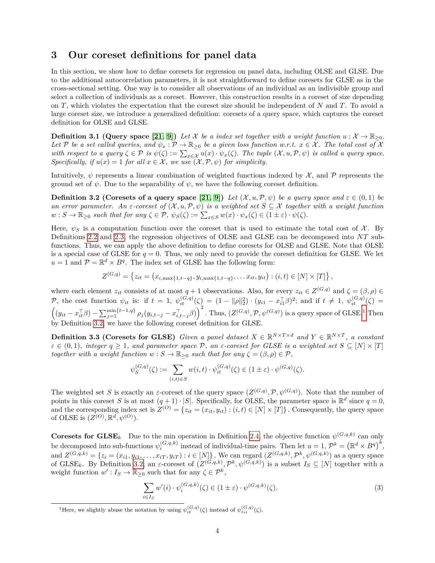## <span id="page-7-0"></span>**3 Our coreset definitions for panel data**

In this section, we show how to define coresets for regression on panel data, including OLSE and GLSE. Due to the additional autocorrelation parameters, it is not straightforward to define coresets for GLSE as in the cross-sectional setting. One way is to consider all observations of an individual as an indivisible group and select a collection of individuals as a coreset. However, this construction results in a coreset of size depending on *T*, which violates the expectation that the coreset size should be independent of *N* and *T*. To avoid a large coreset size, we introduce a generalized definition: coresets of a query space, which captures the coreset definition for OLSE and GLSE.

**Definition 3.1 (Query space [\[21,](#page-24-9) [9\]](#page-23-11))** Let X be a index set together with a weight function  $u : \mathcal{X} \to \mathbb{R}_{\geq 0}$ . *Let* P *be a set called queries, and*  $\psi_x : \mathcal{P} \to \mathbb{R}_{\geq 0}$  *be a given loss function w.r.t.*  $x \in \mathcal{X}$ *. The total cost of* X *with respect to a query*  $\zeta \in \mathcal{P}$  *is*  $\psi(\zeta) := \sum_{x \in \mathcal{X}} u(x) \cdot \psi_x(\zeta)$ . The tuple  $(\mathcal{X}, u, \mathcal{P}, \psi)$  *is called a query space. Specifically, if*  $u(x) = 1$  *for all*  $x \in \mathcal{X}$ *, we use*  $(\mathcal{X}, \mathcal{P}, \psi)$  *for simplicity.* 

Intuitively,  $\psi$  represents a linear combination of weighted functions indexed by  $\mathcal{X}$ , and  $\mathcal{P}$  represents the ground set of  $\psi$ . Due to the separability of  $\psi$ , we have the following coreset definition.

<span id="page-7-3"></span>**Definition 3.2 (Coresets of a query space [\[21,](#page-24-9) [9\]](#page-23-11))** Let  $(\mathcal{X}, u, \mathcal{P}, \psi)$  be a query space and  $\varepsilon \in (0, 1)$  be *an error parameter. An*  $\varepsilon$ -coreset of  $(X, u, \mathcal{P}, \psi)$  *is a weighted set*  $S \subseteq \mathcal{X}$  together with a weight function  $w : S \to \mathbb{R}_{\geq 0}$  *such that for any*  $\zeta \in \mathcal{P}$ ,  $\psi_S(\zeta) := \sum_{x \in S} w(x) \cdot \psi_x(\zeta) \in (1 \pm \varepsilon) \cdot \psi(\zeta)$ .

Here,  $\psi_S$  is a computation function over the coreset that is used to estimate the total cost of  $\mathcal{X}$ . By Definitions [2.2](#page-6-3) and [2.3,](#page-6-4) the regression objectives of OLSE and GLSE can be decomposed into *NT* subfunctions. Thus, we can apply the above definition to define coresets for OLSE and GLSE. Note that OLSE is a special case of GLSE for  $q = 0$ . Thus, we only need to provide the coreset definition for GLSE. We let  $u = 1$  and  $P = \mathbb{R}^d \times B^q$ . The index set of GLSE has the following form:

$$
Z^{(G,q)} = \left\{ z_{it} = \left( x_{i,\max\{1,t-q\}}, y_{i,\max\{1,t-q\}}, \ldots x_{it}, y_{it} \right) : (i,t) \in [N] \times [T] \right\},\
$$

where each element  $z_{it}$  consists of at most  $q + 1$  observations. Also, for every  $z_{it} \in Z^{(G,q)}$  and  $\zeta = (\beta, \rho) \in$ P, the cost function  $\psi_{it}$  is: if  $t = 1$ ,  $\psi_{it}^{(G,q)}(\zeta) = (1 - ||\rho||_2^2) \cdot (y_{i1} - x_{i1}^\top \beta)^2$ ; and if  $t \neq 1$ ,  $\psi_{it}^{(G,q)}(\zeta) =$  $\left((y_{it}-x_{it}^{\top}\beta)-\sum_{j=1}^{\min\{t-1,q\}}\rho_j(y_{i,t-j}-x_{i,t-j}^{\top}\beta)\right)^2$  $\left((y_{it}-x_{it}^{\top}\beta)-\sum_{j=1}^{\min\{t-1,q\}}\rho_j(y_{i,t-j}-x_{i,t-j}^{\top}\beta)\right)^2$  $\left((y_{it}-x_{it}^{\top}\beta)-\sum_{j=1}^{\min\{t-1,q\}}\rho_j(y_{i,t-j}-x_{i,t-j}^{\top}\beta)\right)^2$ . Thus,  $(Z^{(G,q)},\mathcal{P},\psi^{(G,q)})$  is a query space of GLSE.<sup>1</sup> Then by Definition [3.2,](#page-7-3) we have the following coreset definition for GLSE.

<span id="page-7-1"></span>**Definition 3.3 (Coresets for GLSE)** *Given a panel dataset*  $X \in \mathbb{R}^{N \times T \times d}$  and  $Y \in \mathbb{R}^{N \times T}$ , a constant  $\varepsilon \in (0,1)$ *, integer*  $q \geq 1$ *, and parameter space*  $P$ *, an*  $\varepsilon$ -coreset for GLSE is a weighted set  $S \subseteq [N] \times [T]$ *together with a weight function*  $w : S \to \mathbb{R}_{\geq 0}$  *such that for any*  $\zeta = (\beta, \rho) \in \mathcal{P}$ ,

$$
\psi_S^{(G,q)}(\zeta) := \sum_{(i,t) \in S} w(i,t) \cdot \psi_{it}^{(G,q)}(\zeta) \in (1 \pm \varepsilon) \cdot \psi^{(G,q)}(\zeta).
$$

The weighted set *S* is exactly an *ε*-coreset of the query space  $(Z^{(G,q)}, \mathcal{P}, \psi^{(G,q)})$ . Note that the number of points in this coreset *S* is at most  $(q + 1) \cdot |S|$ . Specifically, for OLSE, the parameter space is  $\mathbb{R}^d$  since  $q = 0$ , and the corresponding index set is  $Z^{(O)} = \{z_{it} = (x_{it}, y_{it}) : (i, t) \in [N] \times [T]\}$ . Consequently, the query space of OLSE is  $(Z^{(O)}, \mathbb{R}^d, \psi^{(O)})$ .

**Coresets for**  $\mathbf{GLSE}_k$  Due to the min operation in Definition [2.4,](#page-6-5) the objective function  $\psi^{(G,q,k)}$  can only be decomposed into sub-functions  $\psi_i^{(G,q,k)}$  instead of individual-time pairs. Then let  $u = 1$ ,  $\mathcal{P}^k = (\mathbb{R}^d \times B^q)^k$ , and  $Z^{(G,q,k)} = \{z_i = (x_{i1}, y_{i1}, \dots, x_{iT}, y_{iT}) : i \in [N]\}\.$  We can regard  $(Z^{(G,q,k)}, \mathcal{P}^k, \psi^{(G,q,k)})$  as a query space of GLSE<sub>k</sub>. By Definition [3.2,](#page-7-3) an *ε*-coreset of  $(Z^{(G,q,k)}, \mathcal{P}^k, \psi^{(G,q,k)})$  is a subset  $I_S \subseteq [N]$  together with a weight function  $w': I_S \to \mathbb{R}_{\geq 0}$  such that for any  $\zeta \in \mathcal{P}^k$ ,

$$
\sum_{i \in I_S} w'(i) \cdot \psi_i^{(G,q,k)}(\zeta) \in (1 \pm \varepsilon) \cdot \psi^{(G,q,k)}(\zeta). \tag{3}
$$

<span id="page-7-2"></span><sup>&</sup>lt;sup>1</sup>Here, we slightly abuse the notation by using  $\psi_{it}^{(G,q)}(\zeta)$  instead of  $\psi_{z_{it}}^{(G,q)}(\zeta)$ .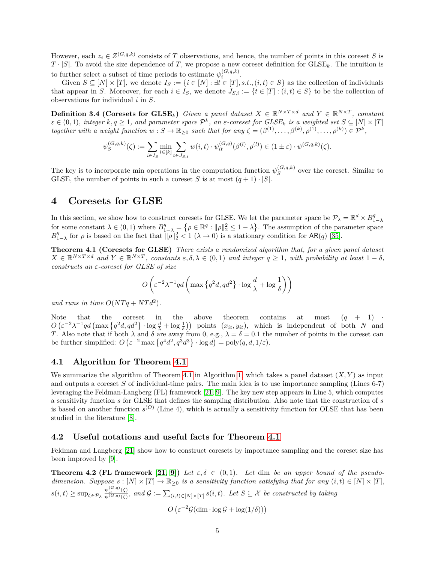However, each  $z_i \in Z^{(G,q,k)}$  consists of *T* observations, and hence, the number of points in this coreset *S* is  $T \cdot |S|$ . To avoid the size dependence of *T*, we propose a new coreset definition for  $G \text{LSE}_k$ . The intuition is to further select a subset of time periods to estimate  $\psi_i^{(G,q,k)}$ .

Given  $S \subseteq [N] \times [T]$ , we denote  $I_S := \{i \in [N] : \exists t \in [T], s.t., (i, t) \in S\}$  as the collection of individuals that appear in *S*. Moreover, for each  $i \in I_S$ , we denote  $J_{S,i} := \{t \in [T] : (i,t) \in S\}$  to be the collection of observations for individual *i* in *S*.

<span id="page-8-4"></span>**Definition 3.4 (Coresets for GLSE**<sub>k</sub>) *Given a panel dataset*  $X \in \mathbb{R}^{N \times T \times d}$  and  $Y \in \mathbb{R}^{N \times T}$ , constant  $\epsilon \in (0,1)$ , integer  $k, q \geq 1$ , and parameter space  $\mathcal{P}^k$ , an  $\epsilon$ -coreset for  $GLSE_k$  is a weighted set  $S \subseteq [N] \times [T]$  $\forall x \in \mathbb{R}^d, \forall y \in \mathbb{R}^d, \forall y \in \mathbb{R}^d, \forall z \in \mathbb{R}^d, \forall z \in \mathbb{R}^d, \forall z \in \mathbb{R}^d, \forall z \in \mathbb{R}^d, \forall z \in \mathbb{R}^d, \forall z \in \mathbb{R}^d, \forall z \in \mathbb{R}^d, \forall z \in \mathbb{R}^d, \forall z \in \mathbb{R}^d, \forall z \in \mathbb{R}^d, \forall z \in \mathbb{R}^d, \forall z \in \mathbb{R}^d, \forall z \in \mathbb{R$ 

$$
\psi^{(G,q,k)}_S(\zeta) := \sum_{i \in I_S} \min_{l \in [k]} \sum_{t \in J_{S,i}} w(i,t) \cdot \psi^{(G,q)}_{it}(\beta^{(l)}, \rho^{(l)}) \in (1 \pm \varepsilon) \cdot \psi^{(G,q,k)}(\zeta).
$$

The key is to incorporate min operations in the computation function  $\psi_S^{(G,q,k)}$  $S^{(G,q,\kappa)}$  over the coreset. Similar to GLSE, the number of points in such a coreset *S* is at most  $(q + 1) \cdot |S|$ .

## <span id="page-8-0"></span>**4 Coresets for GLSE**

In this section, we show how to construct coresets for GLSE. We let the parameter space be  $\mathcal{P}_{\lambda} = \mathbb{R}^d \times B_{1-\lambda}^q$ for some constant  $\lambda \in (0,1)$  where  $B_{1-\lambda}^q = \{ \rho \in \mathbb{R}^q : ||\rho||_2^2 \leq 1 - \lambda \}.$  The assumption of the parameter space  $B_{1-\lambda}^q$  for *ρ* is based on the fact that  $\|\rho\|_2^2 < 1$  ( $\lambda \to 0$ ) is a stationary condition for AR(*q*) [\[35\]](#page-24-5).

<span id="page-8-2"></span>**Theorem 4.1 (Coresets for GLSE)** *There exists a randomized algorithm that, for a given panel dataset*  $X \in \mathbb{R}^{N \times T \times d}$  and  $Y \in \mathbb{R}^{N \times T}$ , constants  $\varepsilon, \delta, \lambda \in (0, 1)$  and integer  $q \geq 1$ , with probability at least  $1 - \delta$ , *constructs an ε-coreset for GLSE of size*

$$
O\left(\varepsilon^{-2}\lambda^{-1}qd\left(\max\left\{q^2d, qd^2\right\}\cdot\log\frac{d}{\lambda}+\log\frac{1}{\delta}\right)\right)
$$

and runs in time  $O(NTq + NTd^2)$ .

Note that the coreset in the above theorem contains at most  $(q + 1)$  $O\left(\varepsilon^{-2}\lambda^{-1}qd\left(\max\left\{q^2d, qd^2\right\}\right) \cdot \log\frac{d}{\lambda} + \log\frac{1}{\delta}\right)\right)$  points  $(x_{it}, y_{it})$ , which is independent of both *N* and *T*. Also note that if both  $\lambda$  and  $\delta$  are away from 0, e.g.,  $\lambda = \delta = 0.1$  the number of points in the coreset can be further simplified:  $O\left(\varepsilon^{-2} \max\left\{q^4 d^2, q^3 d^3\right\} \cdot \log d\right) = \text{poly}(q, d, 1/\varepsilon).$ 

#### <span id="page-8-1"></span>**4.1 Algorithm for Theorem [4.1](#page-8-2)**

We summarize the algorithm of Theorem [4.1](#page-8-2) in Algorithm [1,](#page-9-3) which takes a panel dataset  $(X, Y)$  as input and outputs a coreset *S* of individual-time pairs. The main idea is to use importance sampling (Lines 6-7) leveraging the Feldman-Langberg (FL) framework [\[21,](#page-24-9) [9\]](#page-23-11). The key new step appears in Line 5, which computes a sensitivity function *s* for GLSE that defines the sampling distribution. Also note that the construction of *s* is based on another function  $s^{(O)}$  (Line 4), which is actually a sensitivity function for OLSE that has been studied in the literature [\[8\]](#page-23-2).

#### <span id="page-8-3"></span>**4.2 Useful notations and useful facts for Theorem [4.1](#page-8-2)**

Feldman and Langberg [\[21\]](#page-24-9) show how to construct coresets by importance sampling and the coreset size has been improved by [\[9\]](#page-23-11).

<span id="page-8-5"></span>**Theorem 4.2 (FL framework [\[21,](#page-24-9) [9\]](#page-23-11))** Let  $\varepsilon, \delta \in (0,1)$ . Let dim be an upper bound of the pseudo*dimension.* Suppose  $s : [N] \times [T] \to \mathbb{R}_{\geq 0}$  *is a sensitivity function satisfying that for any*  $(i, t) \in [N] \times [T]$ ,  $s(i,t) \geq \sup_{\zeta \in \mathcal{P}_{\lambda}} \frac{\psi_{i,t}^{(G,q)}(\zeta)}{\psi(G,q)(\zeta)},$  and  $\mathcal{G} := \sum_{(i,t) \in [N] \times [T]} s(i,t)$ . Let  $S \subseteq \mathcal{X}$  be constructed by taking

 $O\left(\varepsilon^{-2}\mathcal{G}(\dim \cdot \log \mathcal{G} + \log(1/\delta))\right)$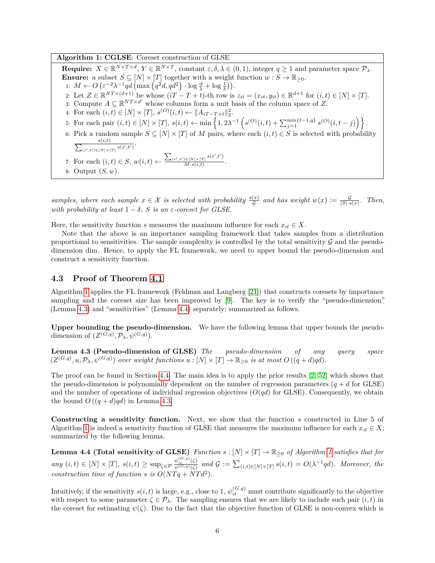**Algorithm 1: CGLSE**: Coreset construction of GLSE

<span id="page-9-3"></span>**Require:**  $X \in \mathbb{R}^{N \times T \times d}$ ,  $Y \in \mathbb{R}^{N \times T}$ , constant  $\varepsilon, \delta, \lambda \in (0, 1)$ , integer  $q \ge 1$  and parameter space  $\mathcal{P}_{\lambda}$ . **Ensure:** a subset  $S \subseteq [N] \times [T]$  together with a weight function  $w : S \to \mathbb{R}_{\geq 0}$ . 1:  $M \leftarrow O\left(\varepsilon^{-2}\lambda^{-1}qd\left(\max\left\{q^2d, qd^2\right\}\right) \cdot \log\frac{d}{\lambda} + \log\frac{1}{\delta}\right)\right).$ 2: Let  $Z \in \mathbb{R}^{NT \times (d+1)}$  be whose  $(iT - T + t)$ -th row is  $z_{it} = (x_{it}, y_{it}) \in \mathbb{R}^{d+1}$  for  $(i, t) \in [N] \times [T]$ . 3: Compute  $A \subseteq \mathbb{R}^{NT \times d'}$  whose columns form a unit basis of the column space of Z. 4: For each  $(i, t) \in [N] \times [T]$ ,  $s^{(O)}(i, t) \leftarrow ||A_{iT-T+t}||_2^2$ . 5: For each pair  $(i,t) \in [N] \times [T]$ ,  $s(i,t) \leftarrow \min\left\{1, 2\lambda^{-1}\left(s^{(O)}(i,t) + \sum_{j=1}^{\min\{t-1,q\}} s^{(O)}(i,t-j)\right)\right\}.$ 6: Pick a random sample  $S \subseteq [N] \times [T]$  of M pairs, where each  $(i, t) \in S$  is selected with probability  $\frac{s(i,t)}{\sum_{(i',t')\in[N]\times[T]}s(i',t')}$ 7: For each  $(i, t) \in S$ ,  $w(i, t) \leftarrow \frac{\sum_{(i', t') \in [N] \times [T]} s(i', t')}{M_{s} s(i, t)}$  $\frac{D \in [N] \times [T]}{M \cdot s(i,t)}$ . 8: Output (*S, w*).

*samples, where each sample*  $x \in \mathcal{X}$  *is selected with probability*  $\frac{s(x)}{g}$  *and has weight*  $w(x) := \frac{g}{|S| \cdot s(x)}$ . Then, *with probability at least*  $1 - \delta$ , *S is an*  $\epsilon$ -coreset for *GLSE*.

Here, the sensitivity function *s* measures the maximum influence for each  $x_{it} \in X$ .

Note that the above is an importance sampling framework that takes samples from a distribution proportional to sensitivities. The sample complexity is controlled by the total sensitivity  $\mathcal G$  and the pseudodimension dim. Hence, to apply the FL framework, we need to upper bound the pseudo-dimension and construct a sensitivity function.

#### <span id="page-9-0"></span>**4.3 Proof of Theorem [4.1](#page-8-2)**

Algorithm [1](#page-9-3) applies the FL framework (Feldman and Langberg [\[21\]](#page-24-9)) that constructs coresets by importance sampling and the coreset size has been improved by [\[9\]](#page-23-11). The key is to verify the "pseudo-dimension" (Lemma [4.3\)](#page-9-1) and "sensitivities" (Lemma [4.4\)](#page-9-2) separately; summarized as follows.

**Upper bounding the pseudo-dimension.** We have the following lemma that upper bounds the pseudodimension of  $(Z^{(G,q)}, \mathcal{P}_\lambda, \psi^{(G,q)})$ .

<span id="page-9-1"></span>**Lemma 4.3 (Pseudo-dimension of GLSE)** *The pseudo-dimension of any query space*  $(Z^{(G,q)}, u, \mathcal{P}_\lambda, \psi^{(G,q)})$  over weight functions  $u : [N] \times [T] \to \mathbb{R}_{\geq 0}$  is at most  $O((q+d)qd)$ .

The proof can be found in Section [4.4.](#page-10-0) The main idea is to apply the prior results [\[2,](#page-23-12) [52\]](#page-25-11) which shows that the pseudo-dimension is polynomially dependent on the number of regression parameters  $(q + d$  for GLSE) and the number of operations of individual regression objectives  $(O(qd))$  for GLSE). Consequently, we obtain the bound  $O((q+d)qd)$  in Lemma [4.3.](#page-9-1)

**Constructing a sensitivity function.** Next, we show that the function *s* constructed in Line 5 of Algorithm [1](#page-9-3) is indeed a sensitivity function of GLSE that measures the maximum influence for each  $x_{it} \in X$ ; summarized by the following lemma.

<span id="page-9-2"></span>**Lemma 4.4 (Total sensitivity of GLSE)** *Function*  $s : [N] \times [T] \to \mathbb{R}_{\geq 0}$  *of Algorithm* [1](#page-9-3) *satisfies that for*  $any (i,t) \in [N] \times [T], s(i,t) \ge \sup_{\zeta \in \mathcal{P}} \frac{\psi_{i,t}^{(G,q)}(\zeta)}{\psi(G,q)(\zeta)}$  and  $\mathcal{G} := \sum_{(i,t) \in [N] \times [T]} s(i,t) = O(\lambda^{-1}qd)$ . Moreover, the *construction time of function s is*  $O(NTq + NTd^2)$ *.* 

Intuitively, if the sensitivity  $s(i, t)$  is large, e.g., close to 1,  $\psi_{it}^{(G,q)}$  must contribute significantly to the objective with respect to some parameter  $\zeta \in \mathcal{P}_\lambda$ . The sampling ensures that we are likely to include such pair  $(i, t)$  in the coreset for estimating  $\psi(\zeta)$ . Due to the fact that the objective function of GLSE is non-convex which is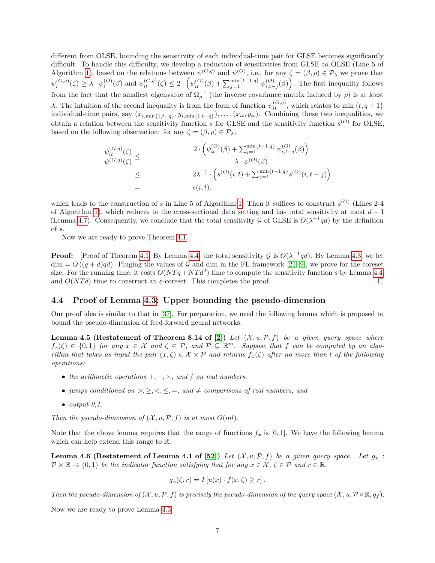different from OLSE, bounding the sensitivity of each individual-time pair for GLSE becomes significantly difficult. To handle this difficulty, we develop a reduction of sensitivities from GLSE to OLSE (Line 5 of Algorithm [1\)](#page-9-3), based on the relations between  $\psi^{(G,q)}$  and  $\psi^{(O)}$ , i.e., for any  $\zeta = (\beta, \rho) \in \mathcal{P}_\lambda$  we prove that  $\psi_i^{(G,q)}(\zeta) \geq \lambda \cdot \psi_i^{(O)}(\beta)$  and  $\psi_{it}^{(G,q)}(\zeta) \leq 2 \cdot \left(\psi_{it}^{(O)}(\beta) + \sum_{j=1}^{\min\{t-1,q\}} \psi_{i,t-j}^{(O)}(\beta)\right)$ . The first inequality follows from the fact that the smallest eigenvalue of  $\Omega_{\rho}^{-1}$  (the inverse covariance matrix induced by  $\rho$ ) is at least *λ*. The intuition of the second inequality is from the form of function  $ψ$ <sup>(*G,q*)</sup></sup>, which relates to min {*t, q* + 1} individual-time pairs, say  $(x_{i,\min\{1,t-q\}}, y_{i,\min\{1,t-q\}}), \ldots, (x_{it}, y_{it})$ . Combining these two inequalities, we obtain a relation between the sensitivity function *s* for GLSE and the sensitivity function *s* (*O*) for OLSE, based on the following observation: for any  $\zeta = (\beta, \rho) \in \mathcal{P}_{\lambda}$ ,

$$
\psi_{it}^{(G,q)}(\zeta) \leq \frac{2 \cdot \left(\psi_{it}^{(O)}(\beta) + \sum_{j=1}^{\min\{t-1,q\}} \psi_{i,t-j}^{(O)}(\beta)\right)}{\lambda \cdot \psi^{(O)}(\beta)}
$$
\n
$$
\leq 2\lambda^{-1} \cdot \left(s^{(O)}(i,t) + \sum_{j=1}^{\min\{t-1,q\}} s^{(O)}(i,t-j)\right)
$$
\n
$$
= s(i,t).
$$

which leads to the construction of *s* in Line 5 of Algorithm [1.](#page-9-3) Then it suffices to construct *s* (*O*) (Lines 2-4 of Algorithm [1\)](#page-9-3), which reduces to the cross-sectional data setting and has total sensitivity at most  $d+1$ (Lemma [4.7\)](#page-11-1). Consequently, we conclude that the total sensitivity G of GLSE is  $O(\lambda^{-1} q d)$  by the definition of *s*.

Now we are ready to prove Theorem [4.1.](#page-8-2)

**Proof:** [Proof of Theorem [4.1\]](#page-8-2) By Lemma [4.4,](#page-9-2) the total sensitivity  $\mathcal{G}$  is  $O(\lambda^{-1}qd)$ . By Lemma [4.3,](#page-9-1) we let  $\dim = O((q+d)qd)$ . Pluging the values of G and dim in the FL framework [\[21,](#page-24-9) [9\]](#page-23-11), we prove for the coreset size. For the running time, it costs  $O(NTq + NTd^2)$  time to compute the sensitivity function *s* by Lemma [4.4,](#page-9-2) and  $O(NTd)$  time to construct an  $\varepsilon$ -coreset. This completes the proof.

#### <span id="page-10-0"></span>**4.4 Proof of Lemma [4.3:](#page-9-1) Upper bounding the pseudo-dimension**

Our proof idea is similar to that in [\[37\]](#page-25-6). For preparation, we need the following lemma which is proposed to bound the pseudo-dimension of feed-forward neural networks.

<span id="page-10-1"></span>**Lemma 4.5 (Restatement of Theorem 8.14 of [\[2\]](#page-23-12))** Let  $(X, u, \mathcal{P}, f)$  be a given query space where  $f_x(\zeta) \in \{0,1\}$  *for any*  $x \in \mathcal{X}$  and  $\zeta \in \mathcal{P}$ , and  $\mathcal{P} \subseteq \mathbb{R}^m$ . Suppose that *f* can be computed by an algo*rithm that takes as input the pair*  $(x, \zeta) \in \mathcal{X} \times \mathcal{P}$  *and returns*  $f_x(\zeta)$  *after no more than l of the following operations:*

- *the arithmetic operations*  $+,-,\times$ *, and / on real numbers.*
- *jumps conditioned on*  $>,\geq,<,\leq,=$ *, and*  $\neq$  *comparisons of real numbers, and*
- $\bullet$  *output*  $0,1$ .

*Then the pseudo-dimension of*  $(X, u, P, f)$  *is at most*  $O(ml)$ *.* 

Note that the above lemma requires that the range of functions  $f_x$  is [0, 1]. We have the following lemma which can help extend this range to R.

<span id="page-10-2"></span>**Lemma 4.6 (Restatement of Lemma 4.1 of [\[52\]](#page-25-11))** Let  $(X, u, \mathcal{P}, f)$  be a given query space. Let  $g_x$ :  $\mathcal{P} \times \mathbb{R} \to \{0,1\}$  *be the indicator function satisfying that for any*  $x \in \mathcal{X}, \zeta \in \mathcal{P}$  and  $r \in \mathbb{R}$ ,

$$
g_x(\zeta,r) = I[u(x) \cdot f(x,\zeta) \ge r].
$$

*Then the pseudo-dimension of*  $(X, u, P, f)$  *is precisely the pseudo-dimension of the query space*  $(X, u, P \times \mathbb{R}, g_f)$ *.* 

Now we are ready to prove Lemma [4.3.](#page-9-1)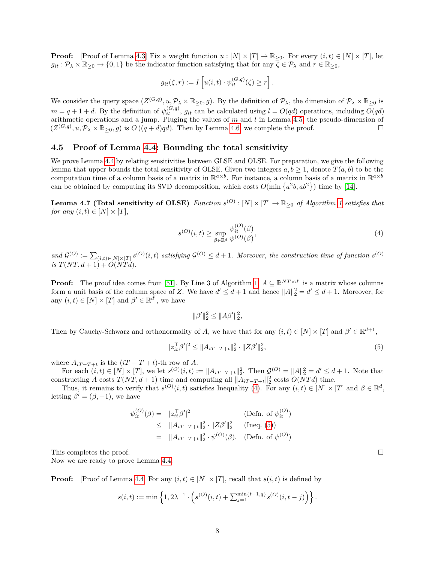**Proof:** [Proof of Lemma [4.3\]](#page-9-1) Fix a weight function  $u : [N] \times [T] \rightarrow \mathbb{R}_{\geq 0}$ . For every  $(i, t) \in [N] \times [T]$ , let  $g_{it}$ :  $\mathcal{P}_{\lambda} \times \mathbb{R}_{>0} \to \{0,1\}$  be the indicator function satisfying that for any  $\zeta \in \mathcal{P}_{\lambda}$  and  $r \in \mathbb{R}_{>0}$ ,

$$
g_{it}(\zeta,r) := I\left[u(i,t)\cdot \psi_{it}^{(G,q)}(\zeta) \geq r\right].
$$

We consider the query space  $(Z^{(G,q)}, u, \mathcal{P}_\lambda \times \mathbb{R}_{\geq 0}, g)$ . By the definition of  $\mathcal{P}_\lambda$ , the dimension of  $\mathcal{P}_\lambda \times \mathbb{R}_{\geq 0}$  is  $m = q + 1 + d$ . By the definition of  $\psi_{it}^{(G,q)}$ ,  $g_{it}$  can be calculated using  $l = O(qd)$  operations, including  $O(qd)$ arithmetic operations and a jump. Pluging the values of *m* and *l* in Lemma [4.5,](#page-10-1) the pseudo-dimension of  $(Z^{(G,q)}, u, \mathcal{P}_\lambda \times \mathbb{R}_{\geq 0}, g)$  is  $O((q + d)qd)$ . Then by Lemma [4.6,](#page-10-2) we complete the proof.

#### <span id="page-11-0"></span>**4.5 Proof of Lemma [4.4:](#page-9-2) Bounding the total sensitivity**

We prove Lemma [4.4](#page-9-2) by relating sensitivities between GLSE and OLSE. For preparation, we give the following lemma that upper bounds the total sensitivity of OLSE. Given two integers  $a, b \ge 1$ , denote  $T(a, b)$  to be the computation time of a column basis of a matrix in  $\mathbb{R}^{a \times b}$ . For instance, a column basis of a matrix in  $\mathbb{R}^{a \times b}$ can be obtained by computing its SVD decomposition, which costs  $O(\min\{a^2b, ab^2\})$  time by [\[14\]](#page-23-13).

<span id="page-11-1"></span>**Lemma 4.7 (Total sensitivity of OLSE)** Function  $s^{(O)} : [N] \times [T] \to \mathbb{R}_{\geq 0}$  of Algorithm [1](#page-9-3) satisfies that *for any*  $(i, t) \in [N] \times [T]$ ,

<span id="page-11-2"></span>
$$
s^{(O)}(i,t) \ge \sup_{\beta \in \mathbb{R}^d} \frac{\psi_{it}^{(O)}(\beta)}{\psi^{(O)}(\beta)},\tag{4}
$$

 $and \mathcal{G}^{(O)} := \sum_{(i,t) \in [N] \times [T]} s^{(O)}(i,t)$  satisfying  $\mathcal{G}^{(O)} \leq d+1$ . Moreover, the construction time of function  $s^{(O)}$ *is*  $T(NT, d + 1) + O(NTd)$ .

**Proof:** The proof idea comes from [\[51\]](#page-25-12). By Line 3 of Algorithm [1,](#page-9-3)  $A \subseteq \mathbb{R}^{NT \times d'}$  is a matrix whose columns form a unit basis of the column space of *Z*. We have  $d' \leq d+1$  and hence  $||A||_2^2 = d' \leq d+1$ . Moreover, for any  $(i, t) \in [N] \times [T]$  and  $\beta' \in \mathbb{R}^{\tilde{d}'}$ , we have

$$
\|\beta'\|_2^2 \le \|A\beta'\|_2^2,
$$

Then by Cauchy-Schwarz and orthonormality of *A*, we have that for any  $(i, t) \in [N] \times [T]$  and  $\beta' \in \mathbb{R}^{d+1}$ ,

$$
|z_{it}^{\top}\beta'|^2 \le \|A_{iT-T+t}\|_2^2 \cdot \|Z\beta'\|_2^2,\tag{5}
$$

where  $A_{iT-T+t}$  is the  $(iT - T + t)$ -th row of A.

For each  $(i, t) \in [N] \times [T]$ , we let  $s^{(O)}(i, t) := ||A_{iT-T+t}||_2^2$ . Then  $\mathcal{G}^{(O)} = ||A||_2^2 = d' \leq d+1$ . Note that constructing *A* costs  $T(NT, d + 1)$  time and computing all  $||A_{iT-T+t}||_2^2$  costs  $O(NTd)$  time.

Thus, it remains to verify that  $s^{(O)}(i,t)$  satisfies Inequality [\(4\)](#page-11-2). For any  $(i,t) \in [N] \times [T]$  and  $\beta \in \mathbb{R}^d$ , letting  $\beta' = (\beta, -1)$ , we have

$$
\psi_{it}^{(O)}(\beta) = |z_{it}^{\top}\beta'|^2
$$
 (Defn. of  $\psi_{it}^{(O)}$ )  
\n
$$
\leq ||A_{iT-T+t}||_2^2 \cdot ||Z\beta'||_2^2
$$
 (Ineq. (5))  
\n
$$
= ||A_{iT-T+t}||_2^2 \cdot \psi^{(O)}(\beta).
$$
 (Defn. of  $\psi^{(O)}$ )

This completes the proof.  $\square$ 

Now we are ready to prove Lemma [4.4.](#page-9-2)

**Proof:** [Proof of Lemma [4.4\]](#page-9-2) For any  $(i, t) \in [N] \times [T]$ , recall that  $s(i, t)$  is defined by

$$
s(i,t) := \min\left\{1, 2\lambda^{-1} \cdot \left(s^{(O)}(i,t) + \sum_{j=1}^{\min\{t-1,q\}} s^{(O)}(i,t-j)\right)\right\}.
$$

<span id="page-11-3"></span>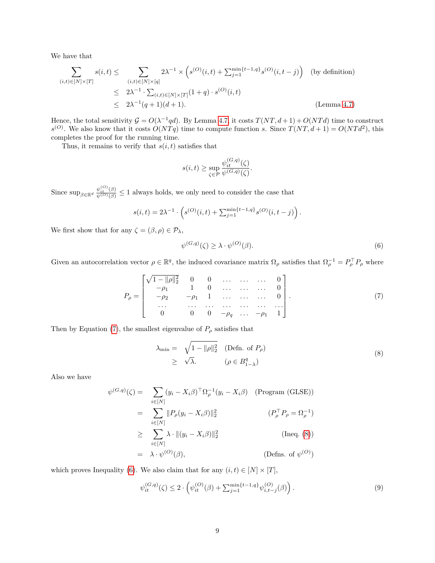We have that

$$
\sum_{(i,t)\in[N]\times[T]} s(i,t) \leq \sum_{(i,t)\in[N]\times[q]} 2\lambda^{-1} \times \left(s^{(O)}(i,t) + \sum_{j=1}^{\min\{t-1,q\}} s^{(O)}(i,t-j)\right) \text{ (by definition)}
$$
\n
$$
\leq 2\lambda^{-1} \cdot \sum_{(i,t)\in[N]\times[T]} (1+q) \cdot s^{(O)}(i,t)
$$
\n
$$
\leq 2\lambda^{-1}(q+1)(d+1). \qquad \text{(Lemma 4.7)}
$$

Hence, the total sensitivity  $G = O(\lambda^{-1}qd)$ . By Lemma [4.7,](#page-11-1) it costs  $T(NT, d+1) + O(NTd)$  time to construct  $s^{(O)}$ . We also know that it costs  $O(NTq)$  time to compute function *s*. Since  $T(NT, d+1) = O(NTd^2)$ , this completes the proof for the running time.

Thus, it remains to verify that  $s(i, t)$  satisfies that

$$
s(i,t) \ge \sup_{\zeta \in \mathcal{P}} \frac{\psi_{it}^{(G,q)}(\zeta)}{\psi^{(G,q)}(\zeta)}.
$$

Since  $\sup_{\beta \in \mathbb{R}^d} \frac{\psi_{it}^{(\beta)}(\beta)}{\psi^{(\beta)}(\beta)} \leq 1$  always holds, we only need to consider the case that

$$
s(i,t) = 2\lambda^{-1} \cdot \left( s^{(O)}(i,t) + \sum_{j=1}^{\min\{t-1,q\}} s^{(O)}(i,t-j) \right).
$$

We first show that for any  $\zeta = (\beta, \rho) \in \mathcal{P}_{\lambda}$ ,

<span id="page-12-2"></span>
$$
\psi^{(G,q)}(\zeta) \ge \lambda \cdot \psi^{(O)}(\beta). \tag{6}
$$

Given an autocorrelation vector  $\rho \in \mathbb{R}^q$ , the induced covariance matrix  $\Omega_\rho$  satisfies that  $\Omega_\rho^{-1} = P_\rho^\top P_\rho$  where

<span id="page-12-0"></span>
$$
P_{\rho} = \begin{bmatrix} \sqrt{1 - ||\rho||_2^2} & 0 & 0 & \dots & \dots & 0 \\ -\rho_1 & 1 & 0 & \dots & \dots & 0 \\ -\rho_2 & -\rho_1 & 1 & \dots & \dots & 0 \\ \dots & \dots & \dots & \dots & \dots & \dots \\ 0 & 0 & 0 & -\rho_q & \dots & -\rho_1 & 1 \end{bmatrix} . \tag{7}
$$

Then by Equation [\(7\)](#page-12-0), the smallest eigenvalue of  $P_\rho$  satisfies that

<span id="page-12-1"></span>
$$
\lambda_{\min} = \sqrt{1 - ||\rho||_2^2} \quad (\text{Defn. of } P_{\rho})
$$
  
\n
$$
\geq \sqrt{\lambda}. \qquad (\rho \in B_{1-\lambda}^q)
$$
 (8)

Also we have

$$
\psi^{(G,q)}(\zeta) = \sum_{i \in [N]} (y_i - X_i \beta)^{\top} \Omega_{\rho}^{-1} (y_i - X_i \beta) \quad \text{(Program (GLSE))}
$$
\n
$$
= \sum_{i \in [N]} ||P_{\rho}(y_i - X_i \beta)||_2^2 \qquad (P_{\rho}^{\top} P_{\rho} = \Omega_{\rho}^{-1})
$$
\n
$$
\geq \sum_{i \in [N]} \lambda \cdot ||(y_i - X_i \beta)||_2^2 \qquad \text{(Ineq. (8))}
$$
\n
$$
= \lambda \cdot \psi^{(O)}(\beta), \qquad \text{(Defns. of } \psi^{(O)})
$$

which proves Inequality [\(6\)](#page-12-2). We also claim that for any  $(i, t) \in [N] \times [T]$ ,

<span id="page-12-3"></span>
$$
\psi_{it}^{(G,q)}(\zeta) \le 2 \cdot \left( \psi_{it}^{(O)}(\beta) + \sum_{j=1}^{\min\{t-1,q\}} \psi_{i,t-j}^{(O)}(\beta) \right). \tag{9}
$$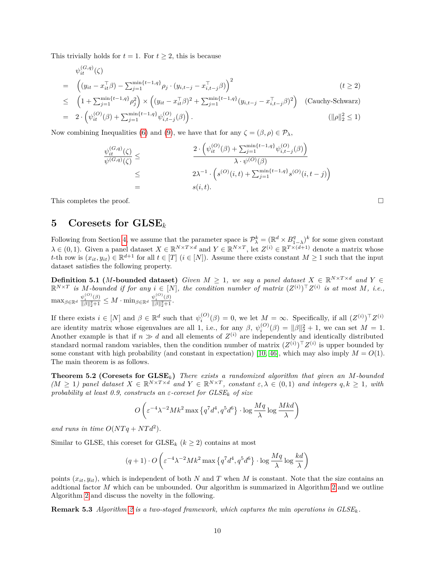This trivially holds for  $t = 1$ . For  $t \geq 2$ , this is because

$$
\psi_{it}^{(G,q)}(\zeta) = \left( (y_{it} - x_{it}^{\top}\beta) - \sum_{j=1}^{\min\{t-1,q\}} \rho_j \cdot (y_{i,t-j} - x_{i,t-j}^{\top}\beta) \right)^2
$$
\n
$$
(t \ge 2)
$$
\n
$$
(t \ge 2)
$$

$$
\leq \left(1 + \sum_{j=1}^{\min\{t-1,q\}} \rho_j^2\right) \times \left( (y_{it} - x_{it}^\top \beta)^2 + \sum_{j=1}^{\min\{t-1,q\}} (y_{i,t-j} - x_{i,t-j}^\top \beta)^2 \right) \quad \text{(Cauchy-Schwarz)}
$$
\n
$$
= 2 \cdot \left( \psi_{it}^{(O)}(\beta) + \sum_{j=1}^{\min\{t-1,q\}} \psi_{i,t-j}^{(O)}(\beta) \right).
$$
\n
$$
(\|\rho\|_2^2 \leq 1)
$$

Now combining Inequalities [\(6\)](#page-12-2) and [\(9\)](#page-12-3), we have that for any  $\zeta = (\beta, \rho) \in \mathcal{P}_{\lambda}$ ,

$$
\psi_{it}^{(G,q)}(\zeta) \leq \frac{2 \cdot \left(\psi_{it}^{(O)}(\beta) + \sum_{j=1}^{\min\{t-1,q\}} \psi_{i,t-j}^{(O)}(\beta)\right)}{\lambda \cdot \psi^{(O)}(\beta)}
$$
\n
$$
\leq 2\lambda^{-1} \cdot \left(s^{(O)}(i,t) + \sum_{j=1}^{\min\{t-1,q\}} s^{(O)}(i,t-j)\right)
$$
\n
$$
= s(i,t).
$$

This completes the proof.  $\square$ 

## <span id="page-13-0"></span>**5 Coresets for GLSE***<sup>k</sup>*

Following from Section [4,](#page-8-0) we assume that the parameter space is  $\mathcal{P}_{\lambda}^{k} = (\mathbb{R}^{d} \times B_{1-\lambda}^{q})^{k}$  for some given constant Following from Section 4, we assume that the parameter space is  $\mathcal{F}_{\lambda} - (\mathbb{R} \times \mathcal{D}_{1-\lambda})$  for some given constant  $\lambda \in (0,1)$ . Given a panel dataset  $X \in \mathbb{R}^{N \times T \times d}$  and  $Y \in \mathbb{R}^{N \times T}$ , let  $Z^{(i)} \in \mathbb{R}^{T \times ($ *t*-th row is  $(x_{it}, y_{it}) \in \mathbb{R}^{d+1}$  for all  $t \in [T]$   $(i \in [N])$ . Assume there exists constant  $M \geq 1$  such that the input dataset satisfies the following property.

<span id="page-13-2"></span>**Definition 5.1** (*M***-bounded dataset**) *Given*  $M \geq 1$ , we say a panel dataset  $X \in \mathbb{R}^{N \times T \times d}$  and  $Y \in$  $\mathbb{R}^{N \times T}$  is M-bounded if for any  $i \in [N]$ , the condition number of matrix  $(Z^{(i)})^T Z^{(i)}$  is at most M, i.e.,  $\max_{\beta \in \mathbb{R}^d} \frac{\psi_i^{(O)}(\beta)}{\|\beta\|_{2}^2 + 1}$  $\frac{\psi_i^{(O)}(\beta)}{\|\beta\|_2^2+1} \leq M \cdot \min_{\beta \in \mathbb{R}^d} \frac{\psi_i^{(O)}(\beta)}{\|\beta\|_2^2+1}$  $\frac{\psi_i - (\beta)}{\|\beta\|_2^2 + 1}$ .

If there exists  $i \in [N]$  and  $\beta \in \mathbb{R}^d$  such that  $\psi_i^{(O)}(\beta) = 0$ , we let  $M = \infty$ . Specifically, if all  $(Z^{(i)})^T Z^{(i)}$ are identity matrix whose eigenvalues are all 1, i.e., for any  $\beta$ ,  $\psi_i^{(O)}(\beta) = ||\beta||_2^2 + 1$ , we can set  $M = 1$ . Another example is that if  $n \gg d$  and all elements of  $Z^{(i)}$  are independently and identically distributed standard normal random variables, then the condition number of matrix  $(Z^{(i)})^T Z^{(i)}$  is upper bounded by some constant with high probability (and constant in expectation) [\[10,](#page-23-14) [46\]](#page-25-13), which may also imply  $M = O(1)$ . The main theorem is as follows.

<span id="page-13-1"></span>**Theorem 5.2 (Coresets for GLSE***k***)** *There exists a randomized algorithm that given an M-bounded*  $(M \geq 1)$  panel dataset  $X \in \mathbb{R}^{N \times T \times d}$  and  $Y \in \mathbb{R}^{N \times T}$ , constant  $\varepsilon, \lambda \in (0,1)$  and integers  $q, k \geq 1$ , with *probability at least 0.9, constructs an ε-coreset for GLSE<sup>k</sup> of size*

$$
O\left(\varepsilon^{-4}\lambda^{-2}Mk^2\max\left\{q^7d^4,q^5d^6\right\}\cdot\log\frac{Mq}{\lambda}\log\frac{Mkd}{\lambda}\right)
$$

and runs in time  $O(NTq + NTd^2)$ .

Similar to GLSE, this coreset for  $\text{GLSE}_k$  ( $k \geq 2$ ) contains at most

$$
(q+1)\cdot O\left(\varepsilon^{-4}\lambda^{-2}Mk^2\max\left\{q^7d^4,q^5d^6\right\}\cdot\log\frac{Mq}{\lambda}\log\frac{kd}{\lambda}\right)
$$

points  $(x_{it}, y_{it})$ , which is independent of both *N* and *T* when *M* is constant. Note that the size contains an addtional factor *M* which can be unbounded. Our algorithm is summarized in Algorithm [2](#page-14-2) and we outline Algorithm [2](#page-14-2) and discuss the novelty in the following.

**Remark 5.3** *Algorithm [2](#page-14-2) is a two-staged framework, which captures the* min *operations in GLSEk.*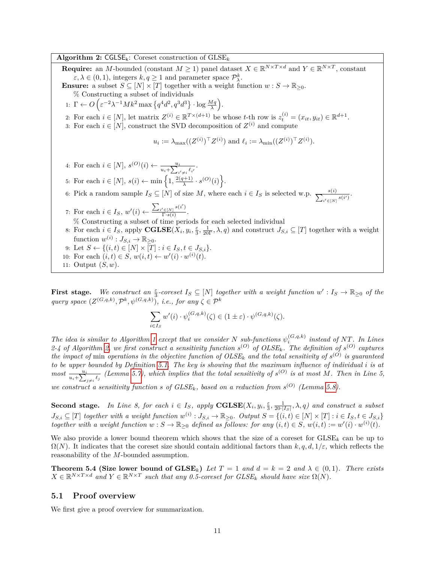<span id="page-14-2"></span>**Algorithm 2:** CGLSEk: Coreset construction of GLSE*<sup>k</sup>* **Require:** an *M*-bounded (constant  $M \geq 1$ ) panel dataset  $X \in \mathbb{R}^{N \times T \times d}$  and  $Y \in \mathbb{R}^{N \times T}$ , constant  $\varepsilon, \lambda \in (0, 1)$ , integers  $k, q \ge 1$  and parameter space  $\mathcal{P}_{\lambda}^{k}$ . **Ensure:** a subset  $S \subseteq [N] \times [T]$  together with a weight function  $w : S \to \mathbb{R}_{\geq 0}$ . % Constructing a subset of individuals 1:  $\Gamma \leftarrow O\left(\varepsilon^{-2}\lambda^{-1}Mk^2 \max\left\{q^4d^2, q^3d^3\right\} \cdot \log \frac{Mq}{\lambda}\right).$ 2: For each  $i \in [N]$ , let matrix  $Z^{(i)} \in \mathbb{R}^{T \times (d+1)}$  be whose  $t$ -th row is  $z_t^{(i)} = (x_{it}, y_{it}) \in \mathbb{R}^{d+1}$ . 3: For each  $i \in [N]$ , construct the SVD decomposition of  $Z^{(i)}$  and compute  $u_i := \lambda_{\max}((Z^{(i)})^\top Z^{(i)})$  and  $\ell_i := \lambda_{\min}((Z^{(i)})^\top Z^{(i)})$ . 4: For each  $i \in [N]$ ,  $s^{(O)}(i) \leftarrow \frac{u_i}{u_i + \sum_{i' \neq i}^{u_i} \ell_{i'}}$ . 5: For each  $i \in [N], s(i) \leftarrow \min\left\{1, \frac{2(q+1)}{N}\right\}$  $\frac{1}{\lambda}^{(n+1)} \cdot s^{(O)}(i)$ . 6: Pick a random sample  $I_S \subseteq [N]$  of size M, where each  $i \in I_S$  is selected w.p.  $\frac{s(i)}{\sum_{i' \in [N]} s(i')}$ . 7: For each  $i \in I_S$ ,  $w'(i) \leftarrow \frac{\sum_{i' \in [N]} s(i')}{\Gamma \cdot s(i)}$  $\frac{r_{\in [N]} \sim}{\Gamma \cdot s(i)}.$  $\%$  Constructing a subset of time periods for each selected individual 8: For each  $i \in I_S$ , apply  $\mathbf{CGLSE}(X_i, y_i, \frac{\varepsilon}{3}, \frac{1}{20\Gamma}, \lambda, q)$  and construct  $J_{S,i} \subseteq [T]$  together with a weight function  $w^{(i)}: J_{S,i} \to \mathbb{R}_{\geq 0}$ . 9: Let  $S \leftarrow \{(i, t) \in [N] \times [T] : i \in I_S, t \in J_{S,i}\}.$ 10: For each  $(i, t) \in S$ ,  $w(i, t) \leftarrow w'(i) \cdot w^{(i)}(t)$ . 11: Output (*S, w*).

**First stage.** We construct an  $\frac{\varepsilon}{3}$ -coreset  $I_S \subseteq [N]$  together with a weight function  $w' : I_S \to \mathbb{R}_{\geq 0}$  of the *query space*  $(Z^{(G,q,k)}, \mathcal{P}^k, \psi^{(G,q,k)})$ , *i.e., for any*  $\zeta \in \mathcal{P}^k$ 

$$
\sum_{i \in I_S} w'(i) \cdot \psi_i^{(G, q, k)}(\zeta) \in (1 \pm \varepsilon) \cdot \psi^{(G, q, k)}(\zeta).
$$

*The idea is similar to Algorithm [1](#page-9-3) except that we consider*  $N$  *sub-functions*  $\psi_i^{(G,q,k)}$  *instead of*  $NT$ *. In Lines* 2-4 of Algorithm [2,](#page-14-2) we first construct a sensitivity function  $s^{(O)}$  of OLSE<sub>k</sub>. The definition of  $s^{(O)}$  captures *the impact of* min *operations in the objective function of*  $OLSE_k$  *and the total sensitivity of*  $s^{(O)}$  *is guaranteed to be upper bounded by Definition [5.1.](#page-13-2) The key is showing that the maximum influence of individual i is at* most  $\frac{u_i}{u_i + \sum_{j \neq i} \ell_j}$  (Lemma [5.7\)](#page-16-0), which implies that the total sensitivity of  $s^{(O)}$  is at most M. Then in Line 5,

we construct a sensitivity function s of  $GLSE_k$ , based on a reduction from  $s^{(O)}$  (Lemma [5.8\)](#page-17-0).

**Second stage.** In Line 8, for each  $i \in I_S$ , apply  $\text{CGLSE}(X_i, y_i, \frac{\varepsilon}{3}, \frac{1}{20 |I_S|}, \lambda, q)$  and construct a subset  $J_{S,i} \subseteq [T]$  together with a weight function  $w^{(i)} : J_{S,i} \to \mathbb{R}_{\geq 0}$ . Output  $S = \{(i, t) \in [N] \times [T] : i \in I_S, t \in J_{S,i}\}\$ *together with a weight function*  $w : S \to \mathbb{R}_{\geq 0}$  *defined as follows: for any*  $(i, t) \in S$ ,  $w(i, t) := w'(i) \cdot w^{(i)}(t)$ .

We also provide a lower bound theorem which shows that the size of a coreset for  $G \text{LSE}_k$  can be up to  $\Omega(N)$ . It indicates that the coreset size should contain additional factors than  $k, q, d, 1/\varepsilon$ , which reflects the reasonability of the *M*-bounded assumption.

<span id="page-14-1"></span>**Theorem 5.4 (Size lower bound of**  $\text{GLSE}_k$ **)** *Let*  $T = 1$  *and*  $d = k = 2$  *and*  $\lambda \in (0,1)$ *. There exists*  $X \in \mathbb{R}^{N \times T \times d}$  and  $Y \in \mathbb{R}^{N \times T}$  such that any 0.5-coreset for  $GLSE_k$  should have size  $\Omega(N)$ .

#### <span id="page-14-0"></span>**5.1 Proof overview**

We first give a proof overview for summarization.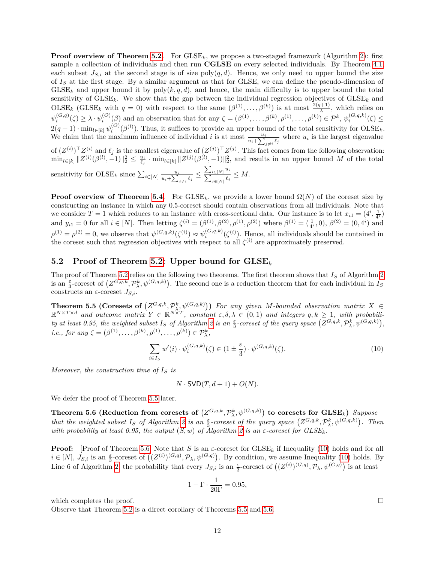**Proof overview of Theorem [5.2.](#page-13-1)** For GLSE<sub>k</sub>, we propose a two-staged framework (Algorithm [2\)](#page-14-2): first sample a collection of individuals and then run **CGLSE** on every selected individuals. By Theorem [4.1,](#page-8-2) each subset  $J_{S,i}$  at the second stage is of size  $\text{poly}(q, d)$ . Hence, we only need to upper bound the size of *I<sup>S</sup>* at the first stage. By a similar argument as that for GLSE, we can define the pseudo-dimension of  $G \text{LSE}_k$  and upper bound it by  $poly(k, q, d)$ , and hence, the main difficulty is to upper bound the total sensitivity of  $G \text{LSE}_k$ . We show that the gap between the individual regression objectives of  $G \text{LSE}_k$  and  $OISE_k$  (GLSE<sub>k</sub> with  $q = 0$ ) with respect to the same  $(\beta^{(1)}, \ldots, \beta^{(k)})$  is at most  $\frac{2(q+1)}{\lambda}$ , which relies on  $\psi_i^{(G,q)}(\zeta) \geq \lambda \cdot \psi_i^{(O)}(\beta)$  and an observation that for any  $\zeta = (\beta^{(1)}, \dots, \beta^{(k)}, \rho^{(1)}, \dots, \rho^{(k)}) \in \mathcal{P}^k$ ,  $\psi_i^{(G,q,k)}(\zeta) \leq$  $2(q+1) \cdot \min_{l \in [k]} \psi_i^{(O)}(\beta^{(l)})$ . Thus, it suffices to provide an upper bound of the total sensitivity for  $_{OLSE_k}$ . We claim that the maximum influence of individual *i* is at most  $\frac{u_i}{u_i + \sum_{j \neq i} \ell_j}$  where  $u_i$  is the largest eigenvalue of  $(Z^{(i)})^{\top}Z^{(i)}$  and  $\ell_j$  is the smallest eigenvalue of  $(Z^{(j)})^{\top}Z^{(j)}$ . This fact comes from the following observation:  $\min_{l \in [k]} ||Z^{(i)}(\beta^{(l)}, -1)||_2^2 \leq \frac{u_i}{\ell_j} \cdot \min_{l \in [k]} ||Z^{(j)}(\beta^{(l)}, -1)||_2^2$ , and results in an upper bound M of the total sensitivity for  $OLSE_k$  since  $\sum_{i \in [N]} \frac{u_i}{u_i + \sum_{i}$  $\frac{u_i}{u_i + \sum_{j \neq i} \ell_j} \leq \frac{\sum_{i \in [N]} }{\sum_{j \in [N]} }$ *ui*  $\frac{i \in [N]}{\ell_j} \frac{\ell_j}{\ell_j} \leq M.$ 

**Proof overview of Theorem [5.4.](#page-14-1)** For GLSE<sub>k</sub>, we provide a lower bound  $\Omega(N)$  of the coreset size by constructing an instance in which any 0.5-coreset should contain observations from all individuals. Note that we consider  $T = 1$  which reduces to an instance with cross-sectional data. Our instance is to let  $x_{i1} = (4^i, \frac{1}{4^i})$ and  $y_{i1} = 0$  for all  $i \in [N]$ . Then letting  $\zeta^{(i)} = (\beta^{(1)}, \beta^{(2)}, \rho^{(1)}, \rho^{(2)})$  where  $\beta^{(1)} = (\frac{1}{4^i}, 0), \beta^{(2)} = (0, 4^i)$  and  $\rho^{(1)} = \rho^{(2)} = 0$ , we observe that  $\psi^{(G,q,k)}(\zeta^{(i)}) \approx \psi_i^{(G,q,k)}(\zeta^{(i)})$ . Hence, all individuals should be contained in the coreset such that regression objectives with respect to all  $\zeta^{(i)}$  are approximately preserved.

#### <span id="page-15-0"></span>**5.2 Proof of Theorem [5.2:](#page-13-1) Upper bound for GLSE***<sup>k</sup>*

The proof of Theorem [5.2](#page-13-1) relies on the following two theorems. The first theorem shows that *I<sup>S</sup>* of Algorithm [2](#page-14-2) is an  $\frac{\varepsilon}{3}$ -coreset of  $(Z^{G,q,k}, \mathcal{P}^k_\lambda, \psi^{(G,q,k)})$ . The second one is a reduction theorem that for each individual in *I<sub>S</sub>* constructs an *ε*-coreset *JS,i*.

<span id="page-15-1"></span>**Theorem 5.5 (Coresets of**  $(Z^{G,q,k}, \mathcal{P}^k_{\lambda}, \psi^{(G,q,k)})$ ) For any given M-bounded observation matrix  $X \in$  $\mathbb{R}^{N \times T \times d}$  and outcome matrix  $Y \in \mathbb{R}^{N \times T}$ , constant  $\varepsilon, \delta, \lambda \in (0,1)$  and integers  $q, k \geq 1$ , with probability at least 0.95, the weighted subset  $I_S$  of Algorithm [2](#page-14-2) is an  $\frac{\varepsilon}{3}$ -coreset of the query space  $(Z^{G,q,k}, \mathcal{P}_{\lambda}^{k}, \psi^{(G,q,k)})$ , *i.e., for any*  $\zeta = (\beta^{(1)}, \ldots, \beta^{(k)}, \rho^{(1)}, \ldots, \rho^{(k)}) \in \mathcal{P}_{\lambda}^{k}$ ,

$$
\sum_{i \in I_S} w'(i) \cdot \psi_i^{(G,q,k)}(\zeta) \in \left(1 \pm \frac{\varepsilon}{3}\right) \cdot \psi^{(G,q,k)}(\zeta). \tag{10}
$$

*Moreover, the construction time of I<sup>S</sup> is*

$$
N \cdot \text{SVD}(T, d+1) + O(N).
$$

<span id="page-15-2"></span>We defer the proof of Theorem [5.5](#page-15-1) later.

 $\textbf{Theorem 5.6 (Reduction from coresets of } (Z^{G,q,k}, \mathcal{P}^{k}_{\lambda}, \psi^{(G,q,k)}) \textbf{ to coresets for GLSE}_k) \ \textit{Suppose}$ that the weighted subset  $I_S$  of Algorithm [2](#page-14-2) is an  $\frac{\varepsilon}{3}$ -coreset of the query space  $(Z^{G,q,k}, \mathcal{P}^k_\lambda, \psi^{(G,q,k)})$ . Then *with probability at least 0.95, the output*  $(S, w)$  *of Algorithm [2](#page-14-2) is an*  $\varepsilon$ *-coreset for*  $GLSE_k$ *.* 

**Proof:** [Proof of Theorem [5.6\]](#page-15-2) Note that *S* is an  $\varepsilon$ -coreset for  $\text{GLSE}_k$  if Inequality [\(10\)](#page-15-3) holds and for all  $i \in [N], J_{S,i}$  is an  $\frac{\varepsilon}{3}$ -coreset of  $((Z^{(i)})^{(G,q)}, \mathcal{P}_\lambda, \psi^{(G,q)})$ . By condition, we assume Inequality [\(10\)](#page-15-3) holds. By Line 6 of Algorithm [2,](#page-14-2) the probability that every  $J_{S,i}$  is an  $\frac{\varepsilon}{3}$ -coreset of  $((Z^{(i)})^{(G,q)}, \mathcal{P}_{\lambda}, \psi^{(G,q)})$  is at least

$$
1 - \Gamma \cdot \frac{1}{20\Gamma} = 0.95,
$$

which completes the proof.  $\Box$ 

Observe that Theorem [5.2](#page-13-1) is a direct corollary of Theorems [5.5](#page-15-1) and [5.6.](#page-15-2)

<span id="page-15-3"></span>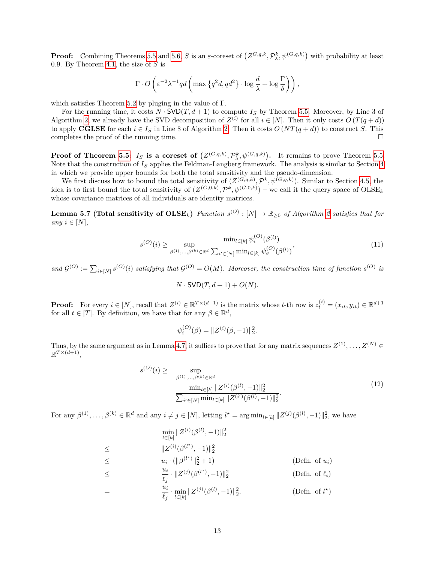**Proof:** Combining Theorems [5.5](#page-15-1) and [5.6,](#page-15-2) *S* is an *ε*-coreset of  $(Z^{G,q,k}, \mathcal{P}_{\lambda}^{k}, \psi^{(G,q,k)})$  with probability at least 0.9. By Theorem [4.1,](#page-8-2) the size of *S* is

$$
\Gamma \cdot O\left(\varepsilon^{-2} \lambda^{-1} q d \left( \max \left\{ q^2 d, q d^2 \right\} \cdot \log \frac{d}{\lambda} + \log \frac{\Gamma}{\delta} \right) \right),\right)
$$

which satisfies Theorem [5.2](#page-13-1) by pluging in the value of Γ.

≤

=

For the running time, it costs  $N \cdot \text{SVD}(T, d+1)$  to compute  $I_S$  by Theorem [5.5.](#page-15-1) Moreover, by Line 3 of Algorithm [2,](#page-14-2) we already have the SVD decomposition of  $Z^{(i)}$  for all  $i \in [N]$ . Then it only costs  $O(T(q+d))$ to apply **CGLSE** for each  $i \in I_S$  in Line 8 of Algorithm [2.](#page-14-2) Then it costs  $O(NT(q+d))$  to construct *S*. This completes the proof of the running time.  $\Box$ 

**Proof of Theorem [5.5:](#page-15-1)** *I<sub>S</sub>* is a coreset of  $(Z^{(G,q,k)}, \mathcal{P}_{\lambda}^{k}, \psi^{(G,q,k)})$ . It remains to prove Theorem [5.5.](#page-15-1) Note that the construction of *I<sup>S</sup>* applies the Feldman-Langberg framework. The analysis is similar to Section [4](#page-8-0) in which we provide upper bounds for both the total sensitivity and the pseudo-dimension.

We first discuss how to bound the total sensitivity of  $(Z^{(G,q,k)}, \mathcal{P}^k, \psi^{(G,q,k)})$ . Similar to Section [4.5,](#page-11-0) the idea is to first bound the total sensitivity of  $(Z^{(G,0,k)}, \mathcal{P}^k, \psi^{(G,0,k)})$  – we call it the query space of  $_{text{OLEk}}$ whose covariance matrices of all individuals are identity matrices.

<span id="page-16-0"></span>**Lemma 5.7 (Total sensitivity of**  $OLSE_k$ **)** *Function*  $s^{(O)} : [N] \to \mathbb{R}_{\geq 0}$  of Algorithm [2](#page-14-2) satisfies that for  $any \ i \in [N],$ 

$$
s^{(O)}(i) \ge \sup_{\beta^{(1)},\dots,\beta^{(k)} \in \mathbb{R}^d} \frac{\min_{l \in [k]} \psi_i^{(O)}(\beta^{(l)})}{\sum_{i' \in [N]} \min_{l \in [k]} \psi_{i'}^{(O)}(\beta^{(l)})},\tag{11}
$$

 $\mathcal{L}(\mathcal{G}^{(O)}) := \sum_{i \in [N]} s^{(O)}(i)$  *satisfying that*  $\mathcal{G}^{(O)} = O(M)$ *. Moreover, the construction time of function*  $s^{(O)}$  *is* 

$$
N \cdot \text{SVD}(T, d+1) + O(N).
$$

**Proof:** For every  $i \in [N]$ , recall that  $Z^{(i)} \in \mathbb{R}^{T \times (d+1)}$  is the matrix whose t-th row is  $z_t^{(i)} = (x_{it}, y_{it}) \in \mathbb{R}^{d+1}$ for all  $t \in [T]$ . By definition, we have that for any  $\beta \in \mathbb{R}^d$ ,

$$
\psi_i^{(O)}(\beta) = \|Z^{(i)}(\beta, -1)\|_2^2.
$$

Thus, by the same argument as in Lemma [4.7,](#page-11-1) it suffices to prove that for any matrix sequences  $Z^{(1)}, \ldots, Z^{(N)} \in$  $\mathbb{R}^{T \times (d+1)},$ 

<span id="page-16-1"></span>
$$
s^{(O)}(i) \ge \sup_{\beta^{(1)},\dots,\beta^{(k)} \in \mathbb{R}^d} \frac{\min_{l \in [k]} \|Z^{(i)}(\beta^{(l)},-1)\|_2^2}{\sum_{i' \in [N]} \min_{l \in [k]} \|Z^{(i')}(\beta^{(l)},-1)\|_2^2}.
$$
\n(12)

For any  $\beta^{(1)}, \ldots, \beta^{(k)} \in \mathbb{R}^d$  and any  $i \neq j \in [N]$ , letting  $l^* = \arg \min_{l \in [k]} ||Z^{(j)}(\beta^{(l)}, -1)||_2^2$ , we have

$$
\min_{l \in [k]} \|Z^{(i)}(\beta^{(l)}, -1)\|_{2}^{2}
$$
\n
$$
\leq \qquad \|Z^{(i)}(\beta^{(l^*)}, -1)\|_{2}^{2}
$$
\n
$$
\leq \qquad u_{i} \cdot (\|\beta^{(l^*)}\|_{2}^{2} + 1) \qquad \qquad \text{(Defn. of } u_{i})
$$
\n
$$
\leq \qquad \frac{u_{i}}{\ell_{j}} \cdot \|Z^{(j)}(\beta^{(l^*)}, -1)\|_{2}^{2} \qquad \qquad \text{(Defn. of } \ell_{i})
$$
\n
$$
= \qquad \frac{u_{i}}{\ell_{j}} \cdot \min_{l \in [k]} \|Z^{(j)}(\beta^{(l)}, -1)\|_{2}^{2}. \qquad \qquad \text{(Defn. of } l^*)
$$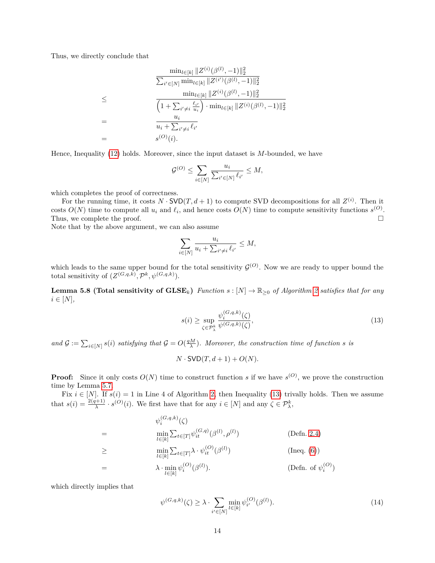Thus, we directly conclude that

$$
\frac{\min_{l\in[k]} \|Z^{(i)}(\beta^{(l)}, -1)\|_{2}^{2}}{\sum_{i'\in[N]} \min_{l\in[k]} \|Z^{(i')}(\beta^{(l)}, -1)\|_{2}^{2}}
$$
\n
$$
\leq \frac{\min_{l\in[k]} \|Z^{(i)}(\beta^{(l)}, -1)\|_{2}^{2}}{\left(1 + \sum_{i'\neq i} \frac{\ell_{i'}}{u_{i}}\right) \cdot \min_{l\in[k]} \|Z^{(i)}(\beta^{(l)}, -1)\|_{2}^{2}}
$$
\n
$$
= \frac{u_{i}}{u_{i} + \sum_{i'\neq i} \ell_{i'}}
$$
\n
$$
= s^{(O)}(i).
$$

Hence, Inequality [\(12\)](#page-16-1) holds. Moreover, since the input dataset is *M*-bounded, we have

$$
\mathcal{G}^{(O)} \le \sum_{i \in [N]} \frac{u_i}{\sum_{i' \in [N]} \ell_{i'}} \le M,
$$

which completes the proof of correctness.

For the running time, it costs  $N \cdot \textsf{SVD}(T, d+1)$  to compute SVD decompositions for all  $Z^{(i)}$ . Then it costs  $O(N)$  time to compute all  $u_i$  and  $\ell_i$ , and hence costs  $O(N)$  time to compute sensitivity functions  $s^{(O)}$ . Thus, we complete the proof.

Note that by the above argument, we can also assume

$$
\sum_{i \in [N]} \frac{u_i}{u_i + \sum_{i' \neq i} \ell_{i'}} \le M,
$$

which leads to the same upper bound for the total sensitivity  $\mathcal{G}^{(O)}$ . Now we are ready to upper bound the total sensitivity of  $(Z^{(G,q,k)}, \mathcal{P}^k, \psi^{(G,q,k)})$ .

<span id="page-17-0"></span>**Lemma 5.8 (Total sensitivity of**  $\text{GLSE}_k$ **)** *Function*  $s : [N] \to \mathbb{R}_{\geq 0}$  *of Algorithm [2](#page-14-2) satisfies that for any*  $i \in [N],$ 

<span id="page-17-1"></span>
$$
s(i) \ge \sup_{\zeta \in \mathcal{P}_{\lambda}^{k}} \frac{\psi_i^{(G,q,k)}(\zeta)}{\psi^{(G,q,k)}(\zeta)},\tag{13}
$$

*and*  $\mathcal{G} := \sum_{i \in [N]} s(i)$  *satisfying that*  $\mathcal{G} = O(\frac{qM}{\lambda})$ *. Moreover, the construction time of function s is* 

$$
N \cdot \text{SVD}(T, d+1) + O(N).
$$

**Proof:** Since it only costs  $O(N)$  time to construct function *s* if we have  $s^{(O)}$ , we prove the construction time by Lemma [5.7.](#page-16-0)

Fix  $i \in [N]$ . If  $s(i) = 1$  in Line 4 of Algorithm [2,](#page-14-2) then Inequality [\(13\)](#page-17-1) trivally holds. Then we assume that  $s(i) = \frac{2(q+1)}{\lambda} \cdot s^{(O)}(i)$ . We first have that for any  $i \in [N]$  and any  $\zeta \in \mathcal{P}_{\lambda}^{k}$ ,

$$
\psi_i^{(G,q,k)}(\zeta)
$$
\n
$$
= \min_{l \in [k]} \sum_{t \in [T]} \psi_{it}^{(G,q)}(\beta^{(l)}, \rho^{(l)})
$$
\n
$$
\geq \min_{l \in [k]} \sum_{t \in [T]} \lambda \cdot \psi_{it}^{(O)}(\beta^{(l)})
$$
\n
$$
= \lambda \cdot \min_{l \in [k]} \psi_i^{(O)}(\beta^{(l)}).
$$
\n(Defn. of  $\psi_i^{(O)}$ )\n
$$
(Defn. of  $\psi_i^{(O)}$ )
$$

which directly implies that

<span id="page-17-2"></span>
$$
\psi^{(G,q,k)}(\zeta) \ge \lambda \cdot \sum_{i' \in [N]} \min_{l \in [k]} \psi_{i'}^{(O)}(\beta^{(l)}). \tag{14}
$$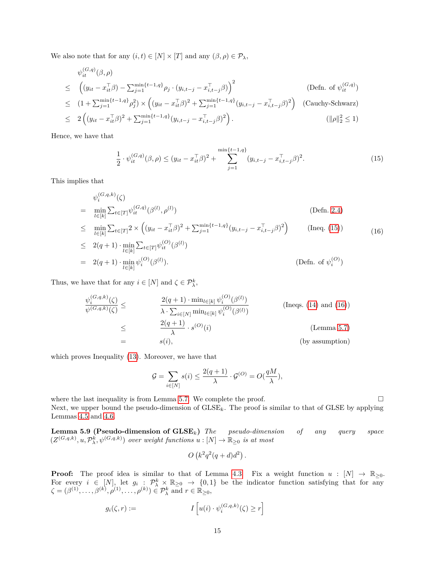We also note that for any  $(i, t) \in [N] \times [T]$  and any  $(\beta, \rho) \in \mathcal{P}_{\lambda}$ ,

$$
\psi_{it}^{(G,q)}(\beta,\rho)
$$
\n
$$
\leq \left( (y_{it} - x_{it}^{\top}\beta) - \sum_{j=1}^{\min\{t-1,q\}} \rho_j \cdot (y_{i,t-j} - x_{i,t-j}^{\top}\beta) \right)^2 \qquad \text{(Defn. of } \psi_{it}^{(G,q)} \text{)}
$$
\n
$$
\leq (1 + \sum_{j=1}^{\min\{t-1,q\}} \rho_j^2) \times \left( (y_{it} - x_{it}^{\top}\beta)^2 + \sum_{j=1}^{\min\{t-1,q\}} (y_{i,t-j} - x_{i,t-j}^{\top}\beta)^2 \right) \qquad \text{(Cauchy-Schwarz)}
$$
\n
$$
\leq 2 \left( (y_{it} - x_{it}^{\top}\beta)^2 + \sum_{j=1}^{\min\{t-1,q\}} (y_{i,t-j} - x_{i,t-j}^{\top}\beta)^2 \right). \qquad \text{(||\rho||_2^2 \leq 1)}
$$

Hence, we have that

<span id="page-18-0"></span>
$$
\frac{1}{2} \cdot \psi_{it}^{(G,q)}(\beta,\rho) \le (y_{it} - x_{it}^{\top}\beta)^2 + \sum_{j=1}^{\min\{t-1,q\}} (y_{i,t-j} - x_{i,t-j}^{\top}\beta)^2.
$$
 (15)

This implies that

<span id="page-18-1"></span>
$$
\psi_i^{(G,q,k)}(\zeta) \n= \min_{l \in [k]} \sum_{t \in [T]} \psi_{it}^{(G,q)}(\beta^{(l)}, \rho^{(l)})
$$
\n
$$
\leq \min_{l \in [k]} \sum_{t \in [T]} 2 \times \left( (y_{it} - x_{it}^{\top} \beta)^2 + \sum_{j=1}^{\min\{t-1, q\}} (y_{i,t-j} - x_{i,t-j}^{\top} \beta)^2 \right)
$$
\n
$$
\leq 2(q+1) \cdot \min_{l \in [k]} \sum_{t \in [T]} \psi_{it}^{(O)}(\beta^{(l)})
$$
\n
$$
= 2(q+1) \cdot \min_{l \in [k]} \psi_i^{(O)}(\beta^{(l)}).
$$
\n
$$
(Defn. of  $\psi_i^{(O)})$
$$

Thus, we have that for any  $i \in [N]$  and  $\zeta \in \mathcal{P}_{\lambda}^k$ ,

$$
\frac{\psi_i^{(G,q,k)}(\zeta)}{\psi^{(G,q,k)}(\zeta)} \leq \frac{2(q+1) \cdot \min_{l \in [k]} \psi_i^{(O)}(\beta^{(l)})}{\lambda \cdot \sum_{i \in [N]} \min_{l \in [k]} \psi_i^{(O)}(\beta^{(l)})}
$$
 (Ineqs. (14) and (16))  
\n
$$
\leq \frac{2(q+1)}{\lambda} \cdot s^{(O)}(i)
$$
 (Lemma 5.7)  
\n
$$
= s(i),
$$
 (by assumption)

which proves Inequality [\(13\)](#page-17-1). Moreover, we have that

$$
\mathcal{G} = \sum_{i \in [N]} s(i) \le \frac{2(q+1)}{\lambda} \cdot \mathcal{G}^{(O)} = O(\frac{qM}{\lambda}),
$$

where the last inequality is from Lemma [5.7.](#page-16-0) We complete the proof.  $\Box$ Next, we upper bound the pseudo-dimension of GLSE*k*. The proof is similar to that of GLSE by applying Lemmas [4.5](#page-10-1) and [4.6.](#page-10-2)

<span id="page-18-2"></span>**Lemma 5.9 (Pseudo-dimension of GLSE***k***)** *The pseudo-dimension of any query space*  $(Z^{(G,q,k)}, u, \mathcal{P}_{\lambda}^{\hat{k}}, \psi^{(G,q,k)})$  *over weight functions*  $u : [N] \to \mathbb{R}_{\geq 0}$  *is at most* 

$$
O\left(k^2q^2(q+d)d^2\right).
$$

**Proof:** The proof idea is similar to that of Lemma [4.3.](#page-9-1) Fix a weight function  $u : [N] \to \mathbb{R}_{\geq 0}$ . For every  $i \in [N]$ , let  $g_i : \mathcal{P}_{\lambda}^k \times \mathbb{R}_{\geq 0} \to \{0,1\}$  be the indicator function satisfying that for any  $\zeta = (\beta^{(1)}, \dots, \beta^{(k)}, \rho^{(1)}, \dots, \rho^{(k)}) \in \mathcal{P}_{\lambda}^{k}$  and  $r \in \mathbb{R}_{\geq 0}$ ,

$$
g_i(\zeta, r) := I\left[u(i) \cdot \psi_i^{(G, q, k)}(\zeta) \ge r\right]
$$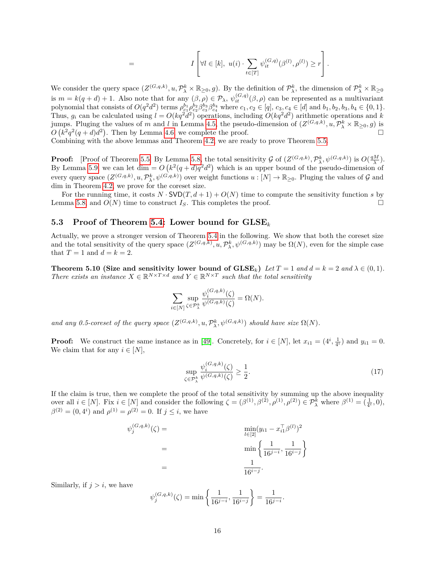$$
= I\left[\forall l \in [k], u(i) \cdot \sum_{t \in [T]} \psi_{it}^{(G,q)}(\beta^{(l)}, \rho^{(l)}) \geq r\right].
$$

We consider the query space  $(Z^{(G,q,k)}, u, \mathcal{P}_{\lambda}^{k} \times \mathbb{R}_{\geq 0}, g)$ . By the definition of  $\mathcal{P}_{\lambda}^{k}$ , the dimension of  $\mathcal{P}_{\lambda}^{k} \times \mathbb{R}_{\geq 0}$ is  $m = k(q+d) + 1$ . Also note that for any  $(\beta, \rho) \in \mathcal{P}_\lambda$ ,  $\psi_{it}^{(G,q)}(\beta, \rho)$  can be represented as a multivariant polynomial that consists of  $O(q^2 d^2)$  terms  $\rho_{c_1}^{b_1} \rho_{c_2}^{b_2} \beta_{c_3}^{b_3} \beta_{c_4}^{b_4}$  where  $c_1, c_2 \in [q], c_3, c_4 \in [d]$  and  $b_1, b_2, b_3, b_4 \in \{0, 1\}.$ Thus,  $g_i$  can be calculated using  $l = O(kq^2d^2)$  operations, including  $O(kq^2d^2)$  arithmetic operations and *k* jumps. Pluging the values of *m* and *l* in Lemma [4.5,](#page-10-1) the pseudo-dimension of  $(Z^{(G,q,k)}, u, \mathcal{P}_{\lambda}^{k} \times \mathbb{R}_{\geq 0}, g)$  is  $O(k^2q^2(q+d)d^2)$ . Then by Lemma [4.6,](#page-10-2) we complete the proof.

Combining with the above lemmas and Theorem [4.2,](#page-8-5) we are ready to prove Theorem [5.5.](#page-15-1)

**Proof:** [Proof of Theorem [5.5\]](#page-15-1) By Lemma [5.8,](#page-17-0) the total sensitivity G of  $(Z^{(G,q,k)}, \mathcal{P}_{\lambda}^{k}, \psi^{(G,q,k)})$  is  $O(\frac{qM}{\lambda})$ . By Lemma [5.9,](#page-18-2) we can let dim  $= O(k^2(q+d)q^2d^2)$  which is an upper bound of the pseudo-dimension of every query space  $(Z^{(G,q,k)}, u, \mathcal{P}_{\lambda}^{k}, \psi^{(G,q,k)})$  over weight functions  $u : [N] \to \mathbb{R}_{\geq 0}$ . Pluging the values of  $\mathcal G$  and dim in Theorem [4.2,](#page-8-5) we prove for the coreset size.

For the running time, it costs  $N \cdot \text{SVD}(T, d+1) + O(N)$  time to compute the sensitivity function *s* by Lemma [5.8,](#page-17-0) and  $O(N)$  time to construct  $I_S$ . This completes the proof.

#### <span id="page-19-0"></span>**5.3 Proof of Theorem [5.4:](#page-14-1) Lower bound for GLSE***<sup>k</sup>*

Actually, we prove a stronger version of Theorem [5.4](#page-14-1) in the following. We show that both the coreset size and the total sensitivity of the query space  $(Z^{(G,q,k)}, u, \mathcal{P}^k_{\lambda}, \psi^{(G,q,k)})$  may be  $\Omega(N)$ , even for the simple case that  $T = 1$  and  $d = k = 2$ .

**Theorem 5.10 (Size and sensitivity lower bound of**  $\text{GLSE}_k$ **)**  $\text{Let } T = 1 \text{ and } d = k = 2 \text{ and } \lambda \in (0, 1)$ *. There exists an instance*  $X \in \mathbb{R}^{N \times T \times d}$  *and*  $Y \in \mathbb{R}^{N \times T}$  *such that the total sensitivity* 

$$
\sum_{i \in [N]} \sup_{\zeta \in \mathcal{P}_{\lambda}^{k}} \frac{\psi_i^{(G, q, k)}(\zeta)}{\psi^{(G, q, k)}(\zeta)} = \Omega(N).
$$

*and any 0.5-coreset of the query space*  $(Z^{(G,q,k)}, u, \mathcal{P}_{\lambda}^{k}, \psi^{(G,q,k)})$  *should have size*  $\Omega(N)$ *.* 

**Proof:** We construct the same instance as in [\[49\]](#page-25-5). Concretely, for  $i \in [N]$ , let  $x_{i1} = (4^i, \frac{1}{4^i})$  and  $y_{i1} = 0$ . We claim that for any  $i \in [N]$ ,

<span id="page-19-1"></span>
$$
\sup_{\zeta \in \mathcal{P}_{\lambda}^{k}} \frac{\psi_i^{(G,q,k)}(\zeta)}{\psi^{(G,q,k)}(\zeta)} \ge \frac{1}{2}.
$$
\n
$$
(17)
$$

If the claim is true, then we complete the proof of the total sensitivity by summing up the above inequality over all  $i \in [N]$ . Fix  $i \in [N]$  and consider the following  $\zeta = (\beta^{(1)}, \beta^{(2)}, \rho^{(1)}, \rho^{(2)}) \in \mathcal{P}_{\lambda}^{k}$  where  $\beta^{(1)} = (\frac{1}{4^{i}}, 0)$ ,  $\beta^{(2)} = (0, 4^i)$  and  $\rho^{(1)} = \rho^{(2)} = 0$ . If  $j \leq i$ , we have

$$
\psi_j^{(G,q,k)}(\zeta) = \min_{l \in [2]} (y_{i1} - x_{i1}^{\top} \beta^{(l)})^2
$$
  
= 
$$
\min \left\{ \frac{1}{16^{j-i}}, \frac{1}{16^{i-j}} \right\}
$$
  
= 
$$
\frac{1}{16^{i-j}}.
$$

Similarly, if  $j > i$ , we have

$$
\psi_j^{(G,q,k)}(\zeta) = \min\left\{\frac{1}{16^{j-i}}, \frac{1}{16^{i-j}}\right\} = \frac{1}{16^{j-i}}.
$$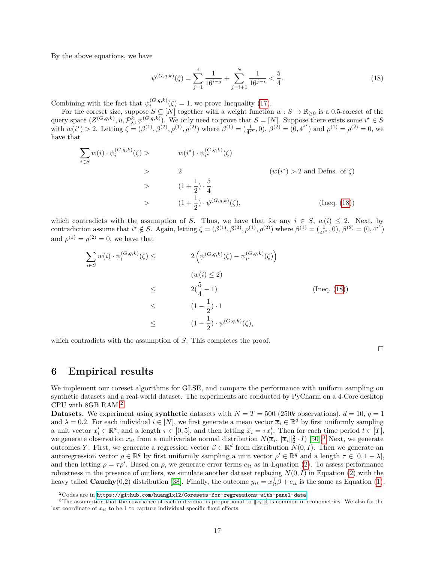By the above equations, we have

<span id="page-20-1"></span>
$$
\psi^{(G,q,k)}(\zeta) = \sum_{j=1}^{i} \frac{1}{16^{i-j}} + \sum_{j=i+1}^{N} \frac{1}{16^{j-i}} < \frac{5}{4}.\tag{18}
$$

Combining with the fact that  $\psi_i^{(G,q,k)}(\zeta) = 1$ , we prove Inequality [\(17\)](#page-19-1).

For the coreset size, suppose  $S \subseteq [N]$  together with a weight function  $w : S \to \mathbb{R}_{\geq 0}$  is a 0.5-coreset of the query space  $(Z^{(G,q,k)}, u, \mathcal{P}_{\lambda}^{k}, \psi^{(G,q,k)})$ . We only need to prove that  $S = [N]$ . Suppose there exists some  $i^* \in S$ with  $w(i^*) > 2$ . Letting  $\zeta = (\beta^{(1)}, \beta^{(2)}, \rho^{(1)}, \beta^{(2)})$  where  $\beta^{(1)} = (\frac{1}{4^{i^*}}, 0), \beta^{(2)} = (0, 4^{i^*})$  and  $\rho^{(1)} = \rho^{(2)} = 0$ , we have that

$$
\sum_{i \in S} w(i) \cdot \psi_i^{(G, q, k)}(\zeta) > w(i^*) \cdot \psi_{i^*}^{(G, q, k)}(\zeta)
$$
\n
$$
> 2 \qquad (w(i^*) > 2 \text{ and Defns. of } \zeta)
$$
\n
$$
> (1 + \frac{1}{2}) \cdot \frac{5}{4}
$$
\n
$$
> (1 + \frac{1}{2}) \cdot \psi^{(G, q, k)}(\zeta), \qquad \text{(Ineq. (18))}
$$

which contradicts with the assumption of *S*. Thus, we have that for any  $i \in S$ ,  $w(i) \leq 2$ . Next, by contradiction assume that  $i^* \notin S$ . Again, letting  $\zeta = (\beta^{(1)}, \beta^{(2)}, \rho^{(1)}, \rho^{(2)})$  where  $\beta^{(1)} = (\frac{1}{4^{i^*}}, 0)$ ,  $\beta^{(2)} = (0, 4^{i^*})$ and  $\rho^{(1)} = \rho^{(2)} = 0$ , we have that

$$
\sum_{i \in S} w(i) \cdot \psi_i^{(G,q,k)}(\zeta) \leq 2 \left( \psi^{(G,q,k)}(\zeta) - \psi_{i^*}^{(G,q,k)}(\zeta) \right)
$$
\n
$$
(w(i) \leq 2)
$$
\n
$$
\leq 2(\frac{5}{4} - 1)
$$
\n
$$
\leq 1 - \frac{1}{2} \cdot 1
$$
\n
$$
\leq 1 - \frac{1}{2} \cdot \psi^{(G,q,k)}(\zeta),
$$
\n
$$
(1 - \frac{1}{2}) \cdot \psi^{(G,q,k)}(\zeta),
$$

which contradicts with the assumption of *S*. This completes the proof.

 $\Box$ 

### <span id="page-20-0"></span>**6 Empirical results**

We implement our coreset algorithms for GLSE, and compare the performance with uniform sampling on synthetic datasets and a real-world dataset. The experiments are conducted by PyCharm on a 4-Core desktop CPU with 8GB RAM.[2](#page-20-2)

**Datasets.** We experiment using **synthetic** datasets with  $N = T = 500$  (250*k* observations),  $d = 10$ ,  $q = 1$ and  $\lambda = 0.2$ . For each individual  $i \in [N]$ , we first generate a mean vector  $\overline{x}_i \in \mathbb{R}^d$  by first uniformly sampling a unit vector  $x_i' \in \mathbb{R}^d$ , and a length  $\tau \in [0, 5]$ , and then letting  $\overline{x}_i = \tau x_i'$ . Then for each time period  $t \in [T]$ , we generate observation  $x_{it}$  from a multivariate normal distribution  $N(\overline{x}_i, \|\overline{x}_i\|_2^2 \cdot I)$  [\[50\]](#page-25-14).<sup>[3](#page-20-3)</sup> Next, we generate outcomes *Y*. First, we generate a regression vector  $\beta \in \mathbb{R}^d$  from distribution  $N(0, I)$ . Then we generate an autoregression vector  $\rho \in \mathbb{R}^q$  by first uniformly sampling a unit vector  $\rho' \in \mathbb{R}^q$  and a length  $\tau \in [0, 1 - \lambda]$ , and then letting  $\rho = \tau \rho'$ . Based on  $\rho$ , we generate error terms  $e_{it}$  as in Equation [\(2\)](#page-6-6). To assess performance robustness in the presence of outliers, we simulate another dataset replacing  $N(0, I)$  in Equation [\(2\)](#page-6-6) with the heavy tailed **Cauchy**(0,2) distribution [\[38\]](#page-25-15). Finally, the outcome  $y_{it} = x_{it}^{\top}\beta + e_{it}$  is the same as Equation [\(1\)](#page-6-1).

<span id="page-20-3"></span><span id="page-20-2"></span> $^{2}$ Codes are in <https://github.com/huanglx12/Coresets-for-regressions-with-panel-data>.

<sup>&</sup>lt;sup>3</sup>The assumption that the covariance of each individual is proportional to  $\|\bar{x}_i\|_2^2$  is common in econometrics. We also fix the last coordinate of  $x_{it}$  to be 1 to capture individual specific fixed effects.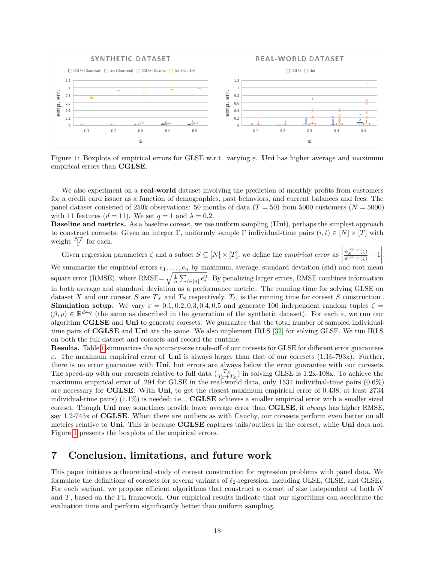<span id="page-21-1"></span>

Figure 1: Boxplots of empirical errors for GLSE w.r.t. varying *ε*. **Uni** has higher average and maximum empirical errors than **CGLSE**.

We also experiment on a **real-world** dataset involving the prediction of monthly profits from customers for a credit card issuer as a function of demographics, past behaviors, and current balances and fees. The panel dataset consisted of 250k observations: 50 months of data  $(T = 50)$  from 5000 customers ( $N = 5000$ ) with 11 features  $(d = 11)$ . We set  $q = 1$  and  $\lambda = 0.2$ .

**Baseline and metrics.** As a baseline coreset, we use uniform sampling (**Uni**), perhaps the simplest approach to construct coresets: Given an integer Γ, uniformly sample Γ individual-time pairs  $(i, t) \in [N] \times [T]$  with weight  $\frac{NT}{\Gamma}$  for each. Γ

Given regression parameters  $\zeta$  and a subset  $S \subseteq [N] \times [T]$ , we define the *empirical error* as  $\frac{\psi_S^{(G,q)}(\zeta)}{\psi^{(G,q)}(\zeta)} - 1$ . We summarize the empirical errors  $e_1, \ldots, e_n$  by maximum, average, standard deviation (std) and root mean square error (RMSE), where RMSE=  $\sqrt{\frac{1}{n} \sum_{i \in [n]} e_i^2}$ . By penalizing larger errors, RMSE combines information in both average and standard deviation as a performance metric,. The running time for solving GLSE on dataset *X* and our coreset *S* are  $T_X$  and  $T_S$  respectively.  $T_C$  is the running time for coreset *S* construction. **Simulation setup.** We vary  $\varepsilon = 0.1, 0.2, 0.3, 0.4, 0.5$  and generate 100 independent random tuples  $\zeta =$  $(\beta, \rho) \in \mathbb{R}^{d+q}$  (the same as described in the generation of the synthetic dataset). For each  $\varepsilon$ , we run our algorithm **CGLSE** and **Uni** to generate coresets. We guarantee that the total number of sampled individualtime pairs of **CGLSE** and **Uni** are the same. We also implement IRLS [\[32\]](#page-24-16) for solving GLSE. We run IRLS on both the full dataset and coresets and record the runtime.

**Results.** Table [1](#page-22-0) summarizes the accuracy-size trade-off of our coresets for GLSE for different error guarantees *ε*. The maximum empirical error of **Uni** is always larger than that of our coresets (1.16-793x). Further, there is no error guarantee with **Uni**, but errors are always below the error guarantee with our coresets. The speed-up with our coresets relative to full data  $(\frac{T_X}{T_C+T_S})$  in solving GLSE is 1.2x-108x. To achieve the maximum empirical error of .294 for GLSE in the real-world data, only 1534 individual-time pairs (0.6%) are necessary for **CGLSE**. With **Uni**, to get the closest maximum empirical error of 0.438, at least 2734 individual-time pairs) (1.1%) is needed; i.e.., **CGLSE** achieves a smaller empirical error with a smaller sized coreset. Though **Uni** may sometimes provide lower average error than **CGLSE**, it *always* has higher RMSE, say 1.2-745x of **CGLSE**. When there are outliers as with Cauchy, our coresets perform even better on all metrics relative to **Uni**. This is because **CGLSE** captures tails/outliers in the coreset, while **Uni** does not. Figure [1](#page-21-1) presents the boxplots of the empirical errors.

## <span id="page-21-0"></span>**7 Conclusion, limitations, and future work**

This paper initiates a theoretical study of coreset construction for regression problems with panel data. We formulate the definitions of coresets for several variants of  $\ell_2$ -regression, including OLSE, GLSE, and  $G LSE_k$ . For each variant, we propose efficient algorithms that construct a coreset of size independent of both *N* and *T*, based on the FL framework. Our empirical results indicate that our algorithms can accelerate the evaluation time and perform significantly better than uniform sampling.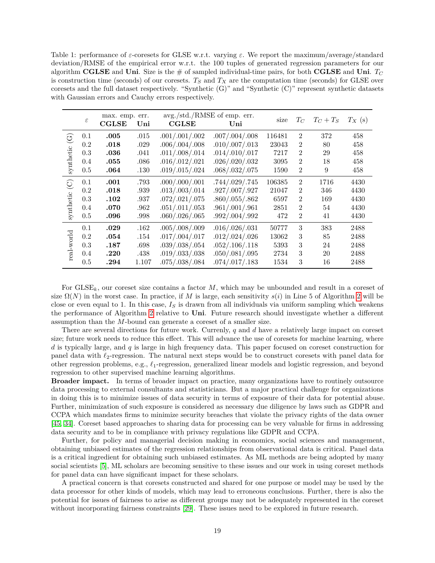<span id="page-22-0"></span>Table 1: performance of *ε*-coresets for GLSE w.r.t. varying *ε*. We report the maximum/average/standard deviation/RMSE of the empirical error w.r.t. the 100 tuples of generated regression parameters for our algorithm **CGLSE** and **Uni**. Size is the  $\#$  of sampled individual-time pairs, for both **CGLSE** and **Uni**.  $T_C$ is construction time (seconds) of our coresets. *T<sup>S</sup>* and *T<sup>X</sup>* are the computation time (seconds) for GLSE over coresets and the full dataset respectively. "Synthetic  $(G)$ " and "Synthetic  $(C)$ " represent synthetic datasets with Gaussian errors and Cauchy errors respectively.

|                        | $\varepsilon$ | max. emp.<br><b>CGLSE</b> | err.<br>Uni | avg./std./RMSE of emp. err.<br>$_{\rm CGLSE}$ | Uni            | size   | $T_C$          | $T_C+T_S$ | $T_X$ (s) |
|------------------------|---------------|---------------------------|-------------|-----------------------------------------------|----------------|--------|----------------|-----------|-----------|
| $\widehat{\mathbb{C}}$ | 0.1           | .005                      | .015        | .001/.001/.002                                | .007/.004/.008 | 116481 | $\overline{2}$ | 372       | 458       |
|                        | 0.2           | .018                      | .029        | .006/.004/.008                                | .010/.007/.013 | 23043  | $\overline{2}$ | 80        | 458       |
| synthetic              | 0.3           | .036                      | .041        | .011/.008/.014                                | .014/.010/.017 | 7217   | $\overline{2}$ | 29        | 458       |
|                        | 0.4           | .055                      | .086        | .016/.012/.021                                | .026/.020/.032 | 3095   | $\overline{2}$ | 18        | 458       |
|                        | 0.5           | .064                      | .130        | .019/.015/.024                                | .068/.032/.075 | 1590   | $\overline{2}$ | 9         | 458       |
| $\odot$                | 0.1           | .001                      | .793        | .000/.000/.001                                | .744/.029/.745 | 106385 | $\overline{2}$ | 1716      | 4430      |
|                        | 0.2           | .018                      | .939        | .013/.003/.014                                | .927/.007/.927 | 21047  | $\overline{2}$ | 346       | 4430      |
|                        | 0.3           | .102                      | .937        | .072/.021/.075                                | .860/.055/.862 | 6597   | $\overline{2}$ | 169       | 4430      |
| synthetic              | 0.4           | .070                      | .962        | .051/.011/.053                                | .961/.001/.961 | 2851   | $\overline{2}$ | 54        | 4430      |
|                        | 0.5           | .096                      | .998        | .060/.026/.065                                | .992/.004/.992 | 472    | $\overline{2}$ | 41        | 4430      |
|                        | 0.1           | .029                      | .162        | .005/.008/.009                                | .016/.026/.031 | 50777  | 3              | 383       | 2488      |
|                        | 0.2           | .054                      | .154        | .017/.004/.017                                | .012/.024/.026 | 13062  | 3              | 85        | 2488      |
|                        | 0.3           | .187                      | .698        | .039/.038/.054                                | .052/.106/.118 | 5393   | 3              | 24        | 2488      |
| real-world             | 0.4           | .220                      | .438        | .019/.033/.038                                | .050/.081/.095 | 2734   | 3              | 20        | 2488      |
|                        | 0.5           | .294                      | 1.107       | .075/.038/.084                                | .074/.017/.183 | 1534   | 3              | 16        | 2488      |

For GLSE*k*, our coreset size contains a factor *M*, which may be unbounded and result in a coreset of size  $\Omega(N)$  in the worst case. In practice, if M is large, each sensitivity  $s(i)$  in Line 5 of Algorithm [2](#page-14-2) will be close or even equal to 1. In this case, *I<sup>S</sup>* is drawn from all individuals via uniform sampling which weakens the performance of Algorithm [2](#page-14-2) relative to **Uni**. Future research should investigate whether a different assumption than the *M*-bound can generate a coreset of a smaller size.

There are several directions for future work. Currenly, *q* and *d* have a relatively large impact on coreset size; future work needs to reduce this effect. This will advance the use of coresets for machine learning, where *d* is typically large, and *q* is large in high frequency data. This paper focused on coreset construction for panel data with  $\ell_2$ -regression. The natural next steps would be to construct coresets with panel data for other regression problems, e.g., *`*1-regression, generalized linear models and logistic regression, and beyond regression to other supervised machine learning algorithms.

**Broader impact.** In terms of broader impact on practice, many organizations have to routinely outsource data processing to external consultants and statisticians. But a major practical challenge for organizations in doing this is to minimize issues of data security in terms of exposure of their data for potential abuse. Further, minimization of such exposure is considered as necessary due diligence by laws such as GDPR and CCPA which mandates firms to minimize security breaches that violate the privacy rights of the data owner [\[45,](#page-25-16) [34\]](#page-24-17). Coreset based approaches to sharing data for processing can be very valuable for firms in addressing data security and to be in compliance with privacy regulations like GDPR and CCPA.

Further, for policy and managerial decision making in economics, social sciences and management, obtaining unbiased estimates of the regression relationships from observational data is critical. Panel data is a critical ingredient for obtaining such unbiased estimates. As ML methods are being adopted by many social scientists [\[5\]](#page-23-15), ML scholars are becoming sensitive to these issues and our work in using coreset methods for panel data can have significant impact for these scholars.

A practical concern is that coresets constructed and shared for one purpose or model may be used by the data processor for other kinds of models, which may lead to erroneous conclusions. Further, there is also the potential for issues of fairness to arise as different groups may not be adequately represented in the coreset without incorporating fairness constraints [\[29\]](#page-24-18). These issues need to be explored in future research.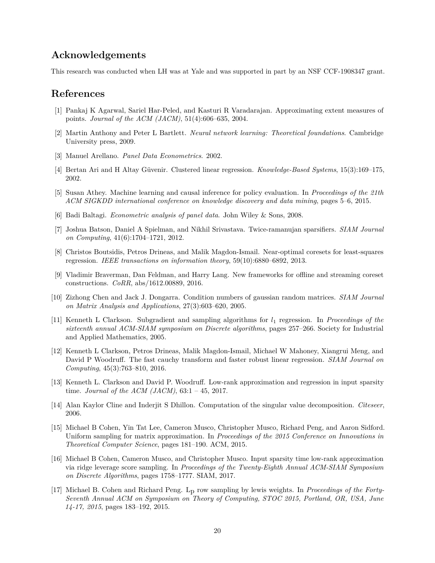## **Acknowledgements**

This research was conducted when LH was at Yale and was supported in part by an NSF CCF-1908347 grant.

## **References**

- <span id="page-23-1"></span>[1] Pankaj K Agarwal, Sariel Har-Peled, and Kasturi R Varadarajan. Approximating extent measures of points. *Journal of the ACM (JACM)*, 51(4):606–635, 2004.
- <span id="page-23-12"></span>[2] Martin Anthony and Peter L Bartlett. *Neural network learning: Theoretical foundations*. Cambridge University press, 2009.
- <span id="page-23-9"></span>[3] Manuel Arellano. *Panel Data Econometrics*. 2002.
- <span id="page-23-10"></span>[4] Bertan Ari and H Altay Güvenir. Clustered linear regression. *Knowledge-Based Systems*, 15(3):169–175, 2002.
- <span id="page-23-15"></span>[5] Susan Athey. Machine learning and causal inference for policy evaluation. In *Proceedings of the 21th ACM SIGKDD international conference on knowledge discovery and data mining*, pages 5–6, 2015.
- <span id="page-23-0"></span>[6] Badi Baltagi. *Econometric analysis of panel data*. John Wiley & Sons, 2008.
- <span id="page-23-16"></span>[7] Joshua Batson, Daniel A Spielman, and Nikhil Srivastava. Twice-ramanujan sparsifiers. *SIAM Journal on Computing*, 41(6):1704–1721, 2012.
- <span id="page-23-2"></span>[8] Christos Boutsidis, Petros Drineas, and Malik Magdon-Ismail. Near-optimal coresets for least-squares regression. *IEEE transactions on information theory*, 59(10):6880–6892, 2013.
- <span id="page-23-11"></span>[9] Vladimir Braverman, Dan Feldman, and Harry Lang. New frameworks for offline and streaming coreset constructions. *CoRR*, abs/1612.00889, 2016.
- <span id="page-23-14"></span>[10] Zizhong Chen and Jack J. Dongarra. Condition numbers of gaussian random matrices. *SIAM Journal on Matrix Analysis and Applications*, 27(3):603–620, 2005.
- <span id="page-23-4"></span>[11] Kenneth L Clarkson. Subgradient and sampling algorithms for *l*<sup>1</sup> regression. In *Proceedings of the sixteenth annual ACM-SIAM symposium on Discrete algorithms*, pages 257–266. Society for Industrial and Applied Mathematics, 2005.
- <span id="page-23-5"></span>[12] Kenneth L Clarkson, Petros Drineas, Malik Magdon-Ismail, Michael W Mahoney, Xiangrui Meng, and David P Woodruff. The fast cauchy transform and faster robust linear regression. *SIAM Journal on Computing*, 45(3):763–810, 2016.
- <span id="page-23-7"></span>[13] Kenneth L. Clarkson and David P. Woodruff. Low-rank approximation and regression in input sparsity time. *Journal of the ACM (JACM)*, 63:1 – 45, 2017.
- <span id="page-23-13"></span>[14] Alan Kaylor Cline and Inderjit S Dhillon. Computation of the singular value decomposition. *Citeseer*, 2006.
- <span id="page-23-3"></span>[15] Michael B Cohen, Yin Tat Lee, Cameron Musco, Christopher Musco, Richard Peng, and Aaron Sidford. Uniform sampling for matrix approximation. In *Proceedings of the 2015 Conference on Innovations in Theoretical Computer Science*, pages 181–190. ACM, 2015.
- <span id="page-23-6"></span>[16] Michael B Cohen, Cameron Musco, and Christopher Musco. Input sparsity time low-rank approximation via ridge leverage score sampling. In *Proceedings of the Twenty-Eighth Annual ACM-SIAM Symposium on Discrete Algorithms*, pages 1758–1777. SIAM, 2017.
- <span id="page-23-8"></span>[17] Michael B. Cohen and Richard Peng. Lp row sampling by lewis weights. In *Proceedings of the Forty-Seventh Annual ACM on Symposium on Theory of Computing, STOC 2015, Portland, OR, USA, June 14-17, 2015*, pages 183–192, 2015.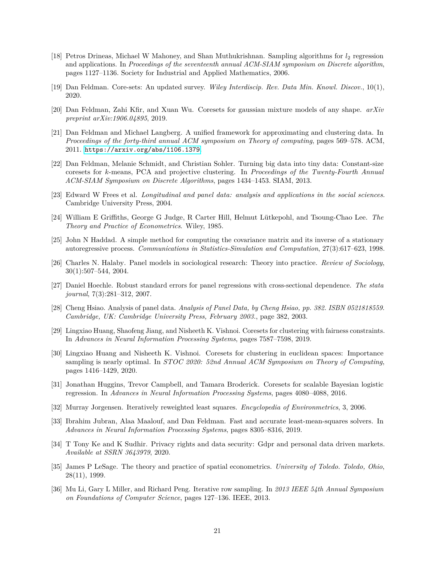- <span id="page-24-6"></span>[18] Petros Drineas, Michael W Mahoney, and Shan Muthukrishnan. Sampling algorithms for  $l_2$  regression and applications. In *Proceedings of the seventeenth annual ACM-SIAM symposium on Discrete algorithm*, pages 1127–1136. Society for Industrial and Applied Mathematics, 2006.
- <span id="page-24-14"></span>[19] Dan Feldman. Core-sets: An updated survey. *Wiley Interdiscip. Rev. Data Min. Knowl. Discov.*, 10(1), 2020.
- <span id="page-24-10"></span>[20] Dan Feldman, Zahi Kfir, and Xuan Wu. Coresets for gaussian mixture models of any shape. *arXiv preprint arXiv:1906.04895*, 2019.
- <span id="page-24-9"></span>[21] Dan Feldman and Michael Langberg. A unified framework for approximating and clustering data. In *Proceedings of the forty-third annual ACM symposium on Theory of computing*, pages 569–578. ACM, 2011. <https://arxiv.org/abs/1106.1379>.
- <span id="page-24-12"></span>[22] Dan Feldman, Melanie Schmidt, and Christian Sohler. Turning big data into tiny data: Constant-size coresets for *k*-means, PCA and projective clustering. In *Proceedings of the Twenty-Fourth Annual ACM-SIAM Symposium on Discrete Algorithms*, pages 1434–1453. SIAM, 2013.
- <span id="page-24-3"></span>[23] Edward W Frees et al. *Longitudinal and panel data: analysis and applications in the social sciences*. Cambridge University Press, 2004.
- <span id="page-24-2"></span>[24] William E Griffiths, George G Judge, R Carter Hill, Helmut Lütkepohl, and Tsoung-Chao Lee. *The Theory and Practice of Econometrics*. Wiley, 1985.
- <span id="page-24-4"></span>[25] John N Haddad. A simple method for computing the covariance matrix and its inverse of a stationary autoregressive process. *Communications in Statistics-Simulation and Computation*, 27(3):617–623, 1998.
- <span id="page-24-15"></span>[26] Charles N. Halaby. Panel models in sociological research: Theory into practice. *Review of Sociology*, 30(1):507–544, 2004.
- <span id="page-24-1"></span>[27] Daniel Hoechle. Robust standard errors for panel regressions with cross-sectional dependence. *The stata journal*, 7(3):281–312, 2007.
- <span id="page-24-0"></span>[28] Cheng Hsiao. Analysis of panel data. *Analysis of Panel Data, by Cheng Hsiao, pp. 382. ISBN 0521818559. Cambridge, UK: Cambridge University Press, February 2003.*, page 382, 2003.
- <span id="page-24-18"></span>[29] Lingxiao Huang, Shaofeng Jiang, and Nisheeth K. Vishnoi. Coresets for clustering with fairness constraints. In *Advances in Neural Information Processing Systems*, pages 7587–7598, 2019.
- <span id="page-24-13"></span>[30] Lingxiao Huang and Nisheeth K. Vishnoi. Coresets for clustering in euclidean spaces: Importance sampling is nearly optimal. In *STOC 2020: 52nd Annual ACM Symposium on Theory of Computing*, pages 1416–1429, 2020.
- <span id="page-24-11"></span>[31] Jonathan Huggins, Trevor Campbell, and Tamara Broderick. Coresets for scalable Bayesian logistic regression. In *Advances in Neural Information Processing Systems*, pages 4080–4088, 2016.
- <span id="page-24-16"></span>[32] Murray Jorgensen. Iteratively reweighted least squares. *Encyclopedia of Environmetrics*, 3, 2006.
- <span id="page-24-8"></span>[33] Ibrahim Jubran, Alaa Maalouf, and Dan Feldman. Fast and accurate least-mean-squares solvers. In *Advances in Neural Information Processing Systems*, pages 8305–8316, 2019.
- <span id="page-24-17"></span>[34] T Tony Ke and K Sudhir. Privacy rights and data security: Gdpr and personal data driven markets. *Available at SSRN 3643979*, 2020.
- <span id="page-24-5"></span>[35] James P LeSage. The theory and practice of spatial econometrics. *University of Toledo. Toledo, Ohio*, 28(11), 1999.
- <span id="page-24-7"></span>[36] Mu Li, Gary L Miller, and Richard Peng. Iterative row sampling. In *2013 IEEE 54th Annual Symposium on Foundations of Computer Science*, pages 127–136. IEEE, 2013.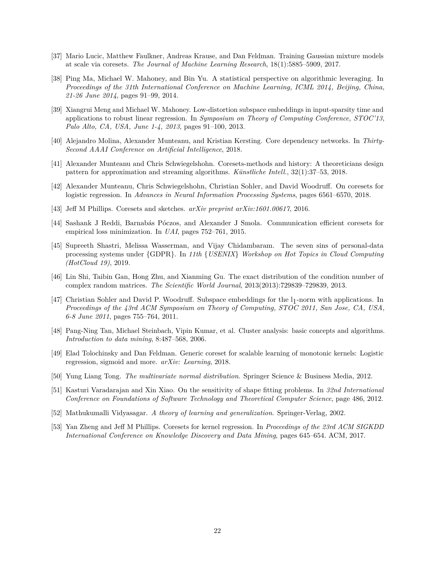- <span id="page-25-6"></span>[37] Mario Lucic, Matthew Faulkner, Andreas Krause, and Dan Feldman. Training Gaussian mixture models at scale via coresets. *The Journal of Machine Learning Research*, 18(1):5885–5909, 2017.
- <span id="page-25-15"></span>[38] Ping Ma, Michael W. Mahoney, and Bin Yu. A statistical perspective on algorithmic leveraging. In *Proceedings of the 31th International Conference on Machine Learning, ICML 2014, Beijing, China, 21-26 June 2014*, pages 91–99, 2014.
- <span id="page-25-9"></span>[39] Xiangrui Meng and Michael W. Mahoney. Low-distortion subspace embeddings in input-sparsity time and applications to robust linear regression. In *Symposium on Theory of Computing Conference, STOC'13, Palo Alto, CA, USA, June 1-4, 2013*, pages 91–100, 2013.
- <span id="page-25-2"></span>[40] Alejandro Molina, Alexander Munteanu, and Kristian Kersting. Core dependency networks. In *Thirty-Second AAAI Conference on Artificial Intelligence*, 2018.
- <span id="page-25-8"></span>[41] Alexander Munteanu and Chris Schwiegelshohn. Coresets-methods and history: A theoreticians design pattern for approximation and streaming algorithms. *Künstliche Intell.*, 32(1):37–53, 2018.
- <span id="page-25-4"></span>[42] Alexander Munteanu, Chris Schwiegelshohn, Christian Sohler, and David Woodruff. On coresets for logistic regression. In *Advances in Neural Information Processing Systems*, pages 6561–6570, 2018.
- <span id="page-25-0"></span>[43] Jeff M Phillips. Coresets and sketches. *arXiv preprint arXiv:1601.00617*, 2016.
- <span id="page-25-3"></span>[44] Sashank J Reddi, Barnabás Póczos, and Alexander J Smola. Communication efficient coresets for empirical loss minimization. In *UAI*, pages 752–761, 2015.
- <span id="page-25-16"></span>[45] Supreeth Shastri, Melissa Wasserman, and Vijay Chidambaram. The seven sins of personal-data processing systems under {GDPR}. In *11th* {*USENIX*} *Workshop on Hot Topics in Cloud Computing (HotCloud 19)*, 2019.
- <span id="page-25-13"></span>[46] Lin Shi, Taibin Gan, Hong Zhu, and Xianming Gu. The exact distribution of the condition number of complex random matrices. *The Scientific World Journal*, 2013(2013):729839–729839, 2013.
- <span id="page-25-1"></span>[47] Christian Sohler and David P. Woodruff. Subspace embeddings for the  $l_1$ -norm with applications. In *Proceedings of the 43rd ACM Symposium on Theory of Computing, STOC 2011, San Jose, CA, USA, 6-8 June 2011*, pages 755–764, 2011.
- <span id="page-25-10"></span>[48] Pang-Ning Tan, Michael Steinbach, Vipin Kumar, et al. Cluster analysis: basic concepts and algorithms. *Introduction to data mining*, 8:487–568, 2006.
- <span id="page-25-5"></span>[49] Elad Tolochinsky and Dan Feldman. Generic coreset for scalable learning of monotonic kernels: Logistic regression, sigmoid and more. *arXiv: Learning*, 2018.
- <span id="page-25-14"></span>[50] Yung Liang Tong. *The multivariate normal distribution*. Springer Science & Business Media, 2012.
- <span id="page-25-12"></span>[51] Kasturi Varadarajan and Xin Xiao. On the sensitivity of shape fitting problems. In *32nd International Conference on Foundations of Software Technology and Theoretical Computer Science*, page 486, 2012.
- <span id="page-25-11"></span>[52] Mathukumalli Vidyasagar. *A theory of learning and generalization*. Springer-Verlag, 2002.
- <span id="page-25-7"></span>[53] Yan Zheng and Jeff M Phillips. Coresets for kernel regression. In *Proceedings of the 23rd ACM SIGKDD International Conference on Knowledge Discovery and Data Mining*, pages 645–654. ACM, 2017.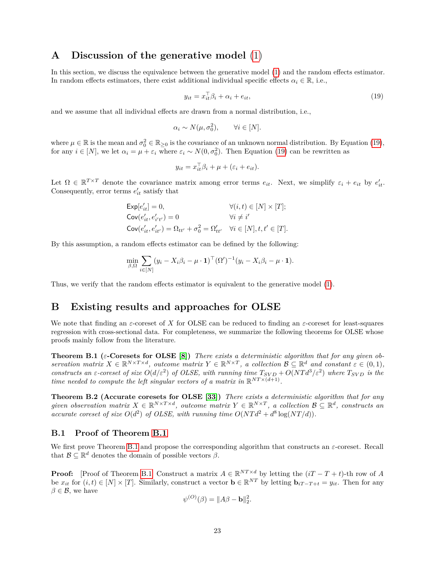## <span id="page-26-0"></span>**A Discussion of the generative model** [\(1\)](#page-6-1)

In this section, we discuss the equivalence between the generative model [\(1\)](#page-6-1) and the random effects estimator. In random effects estimators, there exist additional individual specific effects  $\alpha_i \in \mathbb{R}$ , i.e.,

<span id="page-26-3"></span>
$$
y_{it} = x_{it}^{\top} \beta_i + \alpha_i + e_{it}, \qquad (19)
$$

and we assume that all individual effects are drawn from a normal distribution, i.e.,

$$
\alpha_i \sim N(\mu, \sigma_0^2), \qquad \forall i \in [N].
$$

where  $\mu \in \mathbb{R}$  is the mean and  $\sigma_0^2 \in \mathbb{R}_{\geq 0}$  is the covariance of an unknown normal distribution. By Equation [\(19\)](#page-26-3), for any  $i \in [N]$ , we let  $\alpha_i = \mu + \varepsilon_i$  where  $\varepsilon_i \sim N(0, \sigma_0^2)$ . Then Equation [\(19\)](#page-26-3) can be rewritten as

$$
y_{it} = x_{it}^{\top} \beta_i + \mu + (\varepsilon_i + e_{it}).
$$

Let  $\Omega \in \mathbb{R}^{T \times T}$  denote the covariance matrix among error terms  $e_{it}$ . Next, we simplify  $\varepsilon_i + e_{it}$  by  $e'_{it}$ . Consequently, error terms  $e'_{it}$  satisfy that

$$
\begin{aligned} \mathsf{Exp}[e'_{it}]&=0, &&\forall (i,t)\in [N]\times [T];\\ \mathsf{Cov}(e'_{it},e'_{i't'})&=0 &&\forall i\neq i'\\ \mathsf{Cov}(e'_{it},e'_{it'})&=\Omega_{tt'}+\sigma_0^2=\Omega'_{tt'} &&\forall i\in [N], t,t'\in [T]. \end{aligned}
$$

By this assumption, a random effects estimator can be defined by the following:

$$
\min_{\beta,\Omega} \sum_{i \in [N]} (y_i - X_i \beta_i - \mu \cdot \mathbf{1})^{\top} (\Omega')^{-1} (y_i - X_i \beta_i - \mu \cdot \mathbf{1}).
$$

Thus, we verify that the random effects estimator is equivalent to the generative model [\(1\)](#page-6-1).

## <span id="page-26-1"></span>**B Existing results and approaches for OLSE**

We note that finding an *ε*-coreset of *X* for OLSE can be reduced to finding an *ε*-coreset for least-squares regression with cross-sectional data. For completeness, we summarize the following theorems for OLSE whose proofs mainly follow from the literature.

**Theorem B.1 (***ε***-Coresets for OLSE [\[8\]](#page-23-2))** *There exists a deterministic algorithm that for any given observation matrix*  $X \in \mathbb{R}^{N \times T \times d}$ , *outcome matrix*  $Y \in \mathbb{R}^{N \times T}$ , *a collection*  $\mathcal{B} \subseteq \mathbb{R}^d$  *and constant*  $\varepsilon \in (0,1)$ , *constructs an*  $\varepsilon$ -coreset of size  $O(d/\varepsilon^2)$  of OLSE, with running time  $T_{SVD} + O(NTd^3/\varepsilon^2)$  where  $T_{SVD}$  is the *time needed to compute the left singular vectors of a matrix in*  $\mathbb{R}^{NT \times (d+1)}$ .

**Theorem B.2 (Accurate coresets for OLSE [\[33\]](#page-24-8))** *There exists a deterministic algorithm that for any*  $given\ observation\ matrix\ X \in \mathbb{R}^{N \times T \times d}$ , outcome matrix  $Y \in \mathbb{R}^{N \times T}$ , a collection  $\mathcal{B} \subseteq \mathbb{R}^d$ , constructs an *accurate coreset of size*  $O(d^2)$  *of OLSE, with running time*  $O(NTd^2 + d^8 \log (NT/d))$ *.* 

#### <span id="page-26-2"></span>**B.1 Proof of Theorem [B.1](#page-6-2)**

We first prove Theorem [B.1](#page-6-2) and propose the corresponding algorithm that constructs an *ε*-coreset. Recall that  $\mathcal{B} \subseteq \mathbb{R}^d$  denotes the domain of possible vectors  $\beta$ .

**Proof:** [Proof of Theorem [B.1\]](#page-6-2) Construct a matrix  $A \in \mathbb{R}^{NT \times d}$  by letting the  $(iT - T + t)$ -th row of *A* be  $x_{it}$  for  $(i, t) \in [N] \times [T]$ . Similarly, construct a vector  $\mathbf{b} \in \mathbb{R}^{NT}$  by letting  $\mathbf{b}_{iT-T+t} = y_{it}$ . Then for any  $\beta \in \mathcal{B}$ , we have

$$
\psi^{(O)}(\beta) = ||A\beta - \mathbf{b}||_2^2.
$$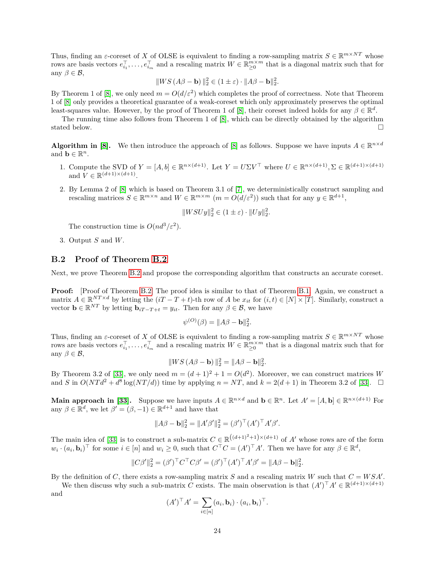Thus, finding an  $\varepsilon$ -coreset of *X* of OLSE is equivalent to finding a row-sampling matrix  $S \in \mathbb{R}^{m \times NT}$  whose rows are basis vectors  $e_{i_1}^{\top}, \ldots, e_{i_m}^{\top}$  and a rescaling matrix  $W \in \mathbb{R}_{\geq 0}^{m \times m}$  that is a diagonal matrix such that for any  $\beta \in \mathcal{B}$ ,

$$
||WS(A\beta - \mathbf{b})||_2^2 \in (1 \pm \varepsilon) \cdot ||A\beta - \mathbf{b}||_2^2.
$$

By Theorem 1 of [\[8\]](#page-23-2), we only need  $m = O(d/\varepsilon^2)$  which completes the proof of correctness. Note that Theorem 1 of [\[8\]](#page-23-2) only provides a theoretical guarantee of a weak-coreset which only approximately preserves the optimal least-squares value. However, by the proof of Theorem 1 of [\[8\]](#page-23-2), their coreset indeed holds for any  $\beta \in \mathbb{R}^d$ .

The running time also follows from Theorem 1 of [\[8\]](#page-23-2), which can be directly obtained by the algorithm stated below.  $\Box$ 

**Algorithm in [\[8\]](#page-23-2).** We then introduce the approach of [8] as follows. Suppose we have inputs  $A \in \mathbb{R}^{n \times d}$ and **b**  $\in \mathbb{R}^n$ .

- 1. Compute the SVD of  $Y = [A, b] \in \mathbb{R}^{n \times (d+1)}$ . Let  $Y = U \Sigma V^{\top}$  where  $U \in \mathbb{R}^{n \times (d+1)}$ ,  $\Sigma \in \mathbb{R}^{(d+1) \times (d+1)}$ and  $V \in \mathbb{R}^{(d+1)\times(d+1)}$ .
- 2. By Lemma 2 of [\[8\]](#page-23-2) which is based on Theorem 3.1 of [\[7\]](#page-23-16), we deterministically construct sampling and rescaling matrices  $S \in \mathbb{R}^{m \times n}$  and  $W \in \mathbb{R}^{m \times m}$   $(m = O(d/\varepsilon^2))$  such that for any  $y \in \mathbb{R}^{d+1}$ ,

$$
||WSUy||_2^2 \in (1 \pm \varepsilon) \cdot ||Uy||_2^2.
$$

The construction time is  $O(nd^3/\varepsilon^2)$ .

3. Output *S* and *W*.

#### <span id="page-27-0"></span>**B.2 Proof of Theorem [B.2](#page-6-3)**

Next, we prove Theorem [B.2](#page-6-3) and propose the corresponding algorithm that constructs an accurate coreset.

**Proof:** [Proof of Theorem [B.2\]](#page-6-3) The proof idea is similar to that of Theorem [B.1.](#page-6-2) Again, we construct a matrix  $A \in \mathbb{R}^{NT \times d}$  by letting the  $(iT - T + t)$ -th row of  $A$  be  $x_{it}$  for  $(i, t) \in [N] \times [T]$ . Similarly, construct a vector  $\mathbf{b} \in \mathbb{R}^{NT}$  by letting  $\mathbf{b}_{iT-T+t} = y_{it}$ . Then for any  $\beta \in \mathcal{B}$ , we have

$$
\psi^{(O)}(\beta) = ||A\beta - \mathbf{b}||_2^2.
$$

Thus, finding an  $\varepsilon$ -coreset of *X* of OLSE is equivalent to finding a row-sampling matrix  $S \in \mathbb{R}^{m \times NT}$  whose rows are basis vectors  $e_{i_1}^{\top}, \ldots, e_{i_m}^{\top}$  and a rescaling matrix  $W \in \mathbb{R}_{\geq 0}^{m \times m}$  that is a diagonal matrix such that for any  $\beta \in \mathcal{B}$ ,

$$
||WS(A\beta - \mathbf{b})||_2^2 = ||A\beta - \mathbf{b}||_2^2.
$$

By Theorem 3.2 of [\[33\]](#page-24-8), we only need  $m = (d+1)^2 + 1 = O(d^2)$ . Moreover, we can construct matrices *W* and *S* in  $O(NTd^2 + d^8 \log(NT/d))$  time by applying  $n = NT$ , and  $k = 2(d+1)$  in Theorem 3.2 of [\[33\]](#page-24-8).  $\Box$ 

**Main approach in [\[33\]](#page-24-8).** Suppose we have inputs  $A \in \mathbb{R}^{n \times d}$  and  $\mathbf{b} \in \mathbb{R}^n$ . Let  $A' = [A, \mathbf{b}] \in \mathbb{R}^{n \times (d+1)}$  For any  $\beta \in \mathbb{R}^d$ , we let  $\beta' = (\beta, -1) \in \mathbb{R}^{d+1}$  and have that

$$
||A\beta - \mathbf{b}||_2^2 = ||A'\beta'||_2^2 = (\beta')^\top (A')^\top A'\beta'.
$$

The main idea of [\[33\]](#page-24-8) is to construct a sub-matrix  $C \in \mathbb{R}^{((d+1)^2+1)\times(d+1)}$  of *A'* whose rows are of the form  $w_i \cdot (a_i, \mathbf{b}_i)$ <sup>T</sup> for some  $i \in [n]$  and  $w_i \geq 0$ , such that  $C^{\top} C = (A')^{\top} A'$ . Then we have for any  $\beta \in \mathbb{R}^d$ ,

$$
||C\beta'||_2^2 = (\beta')^\top C^\top C\beta' = (\beta')^\top (A')^\top A'\beta' = ||A\beta - \mathbf{b}||_2^2.
$$

By the definition of  $C$ , there exists a row-sampling matrix  $S$  and a rescaling matrix  $W$  such that  $C = WSA'$ .

We then discuss why such a sub-matrix *C* exists. The main observation is that  $(A')^{\top}A' \in \mathbb{R}^{(d+1)\times(d+1)}$ and

$$
(A')^\top A' = \sum_{i \in [n]} (a_i, \mathbf{b}_i) \cdot (a_i, \mathbf{b}_i)^\top.
$$